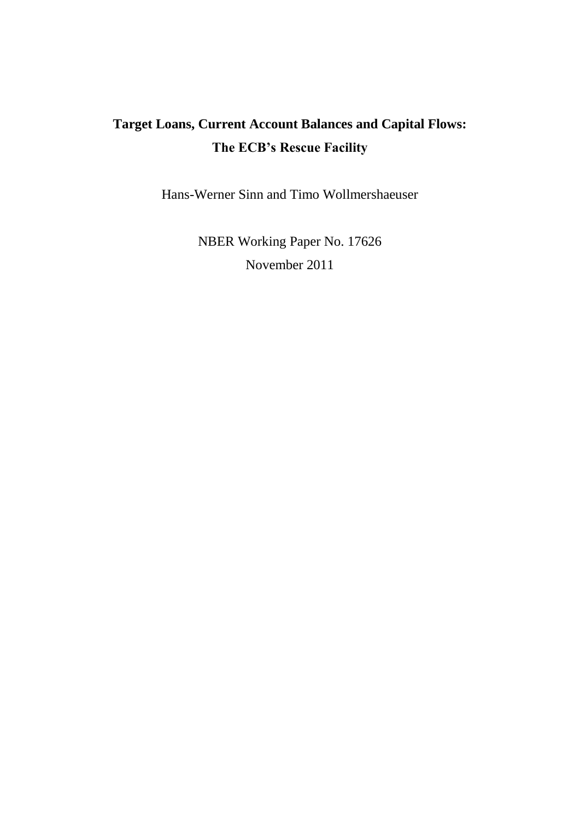# **Target Loans, Current Account Balances and Capital Flows: The ECB's Rescue Facility**

Hans-Werner Sinn and Timo Wollmershaeuser

NBER Working Paper No. 17626 November 2011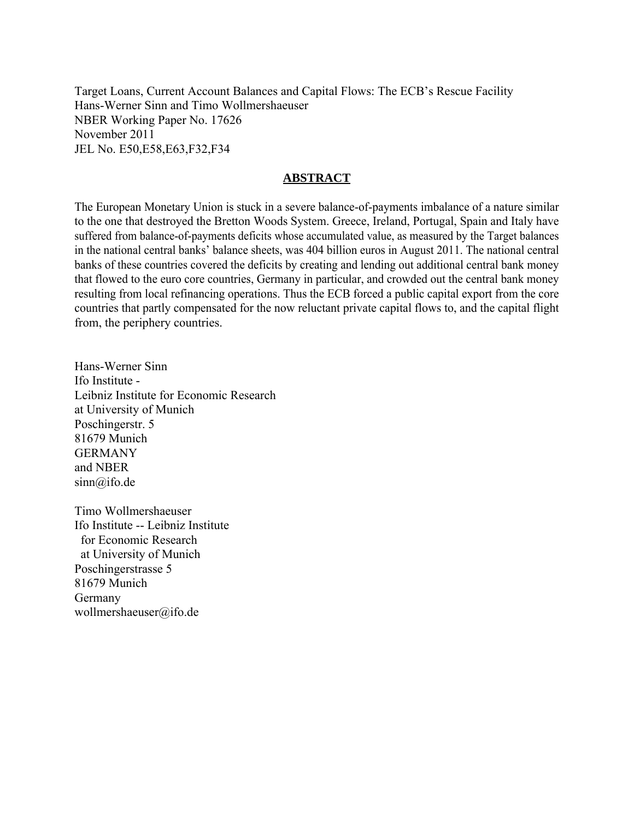Target Loans, Current Account Balances and Capital Flows: The ECB's Rescue Facility Hans-Werner Sinn and Timo Wollmershaeuser NBER Working Paper No. 17626 November 2011 JEL No. E50,E58,E63,F32,F34

#### **ABSTRACT**

The European Monetary Union is stuck in a severe balance-of-payments imbalance of a nature similar to the one that destroyed the Bretton Woods System. Greece, Ireland, Portugal, Spain and Italy have suffered from balance-of-payments deficits whose accumulated value, as measured by the Target balances in the national central banks' balance sheets, was 404 billion euros in August 2011. The national central banks of these countries covered the deficits by creating and lending out additional central bank money that flowed to the euro core countries, Germany in particular, and crowded out the central bank money resulting from local refinancing operations. Thus the ECB forced a public capital export from the core countries that partly compensated for the now reluctant private capital flows to, and the capital flight from, the periphery countries.

Hans-Werner Sinn Ifo Institute - Leibniz Institute for Economic Research at University of Munich Poschingerstr. 5 81679 Munich GERMANY and NBER sinn@ifo.de

Timo Wollmershaeuser Ifo Institute -- Leibniz Institute for Economic Research at University of Munich Poschingerstrasse 5 81679 Munich Germany wollmershaeuser@ifo.de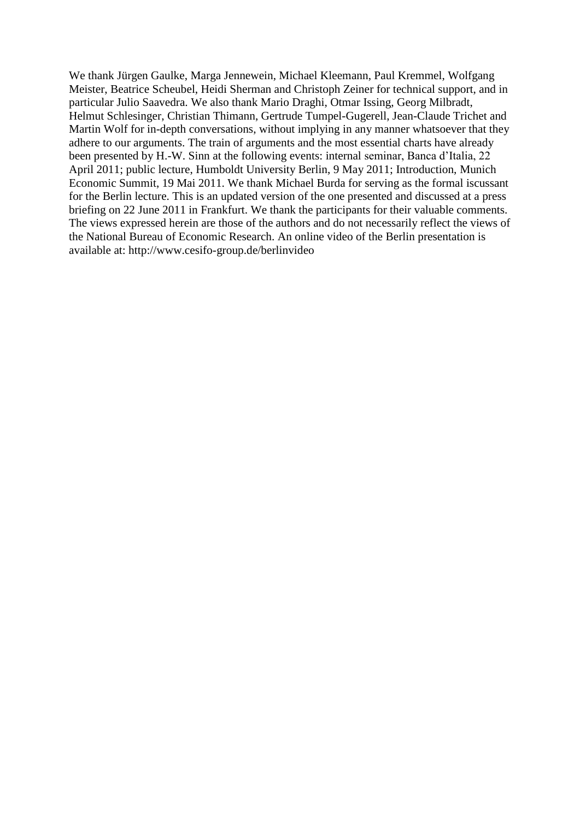We thank Jürgen Gaulke, Marga Jennewein, Michael Kleemann, Paul Kremmel, Wolfgang Meister, Beatrice Scheubel, Heidi Sherman and Christoph Zeiner for technical support, and in particular Julio Saavedra. We also thank Mario Draghi, Otmar Issing, Georg Milbradt, Helmut Schlesinger, Christian Thimann, Gertrude Tumpel-Gugerell, Jean-Claude Trichet and Martin Wolf for in-depth conversations, without implying in any manner whatsoever that they adhere to our arguments. The train of arguments and the most essential charts have already been presented by H.-W. Sinn at the following events: internal seminar, Banca d'Italia, 22 April 2011; public lecture, Humboldt University Berlin, 9 May 2011; Introduction, Munich Economic Summit, 19 Mai 2011. We thank Michael Burda for serving as the formal iscussant for the Berlin lecture. This is an updated version of the one presented and discussed at a press briefing on 22 June 2011 in Frankfurt. We thank the participants for their valuable comments. The views expressed herein are those of the authors and do not necessarily reflect the views of the National Bureau of Economic Research. An online video of the Berlin presentation is available at: http://www.cesifo-group.de/berlinvideo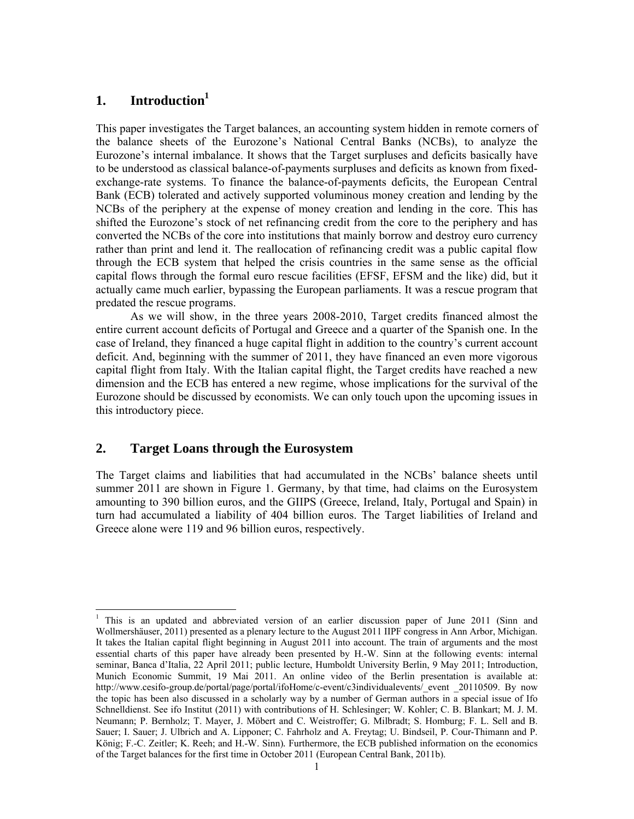# **1. Introduction1**

This paper investigates the Target balances, an accounting system hidden in remote corners of the balance sheets of the Eurozone's National Central Banks (NCBs), to analyze the Eurozone's internal imbalance. It shows that the Target surpluses and deficits basically have to be understood as classical balance-of-payments surpluses and deficits as known from fixedexchange-rate systems. To finance the balance-of-payments deficits, the European Central Bank (ECB) tolerated and actively supported voluminous money creation and lending by the NCBs of the periphery at the expense of money creation and lending in the core. This has shifted the Eurozone's stock of net refinancing credit from the core to the periphery and has converted the NCBs of the core into institutions that mainly borrow and destroy euro currency rather than print and lend it. The reallocation of refinancing credit was a public capital flow through the ECB system that helped the crisis countries in the same sense as the official capital flows through the formal euro rescue facilities (EFSF, EFSM and the like) did, but it actually came much earlier, bypassing the European parliaments. It was a rescue program that predated the rescue programs.

 As we will show, in the three years 2008-2010, Target credits financed almost the entire current account deficits of Portugal and Greece and a quarter of the Spanish one. In the case of Ireland, they financed a huge capital flight in addition to the country's current account deficit. And, beginning with the summer of 2011, they have financed an even more vigorous capital flight from Italy. With the Italian capital flight, the Target credits have reached a new dimension and the ECB has entered a new regime, whose implications for the survival of the Eurozone should be discussed by economists. We can only touch upon the upcoming issues in this introductory piece.

#### **2. Target Loans through the Eurosystem**

The Target claims and liabilities that had accumulated in the NCBs' balance sheets until summer 2011 are shown in Figure 1. Germany, by that time, had claims on the Eurosystem amounting to 390 billion euros, and the GIIPS (Greece, Ireland, Italy, Portugal and Spain) in turn had accumulated a liability of 404 billion euros. The Target liabilities of Ireland and Greece alone were 119 and 96 billion euros, respectively.

 $\overline{a}$ 1 This is an updated and abbreviated version of an earlier discussion paper of June 2011 (Sinn and Wollmershäuser, 2011) presented as a plenary lecture to the August 2011 IIPF congress in Ann Arbor, Michigan. It takes the Italian capital flight beginning in August 2011 into account. The train of arguments and the most essential charts of this paper have already been presented by H.-W. Sinn at the following events: internal seminar, Banca d'Italia, 22 April 2011; public lecture, Humboldt University Berlin, 9 May 2011; Introduction, Munich Economic Summit, 19 Mai 2011. An online video of the Berlin presentation is available at: http://www.cesifo-group.de/portal/page/portal/ifoHome/c-event/c3individualevents/\_event \_20110509. By now the topic has been also discussed in a scholarly way by a number of German authors in a special issue of Ifo Schnelldienst. See ifo Institut (2011) with contributions of H. Schlesinger; W. Kohler; C. B. Blankart; M. J. M. Neumann; P. Bernholz; T. Mayer, J. Möbert and C. Weistroffer; G. Milbradt; S. Homburg; F. L. Sell and B. Sauer; I. Sauer; J. Ulbrich and A. Lipponer; C. Fahrholz and A. Freytag; U. Bindseil, P. Cour-Thimann and P. König; F.-C. Zeitler; K. Reeh; and H.-W. Sinn)*.* Furthermore, the ECB published information on the economics of the Target balances for the first time in October 2011 (European Central Bank, 2011b).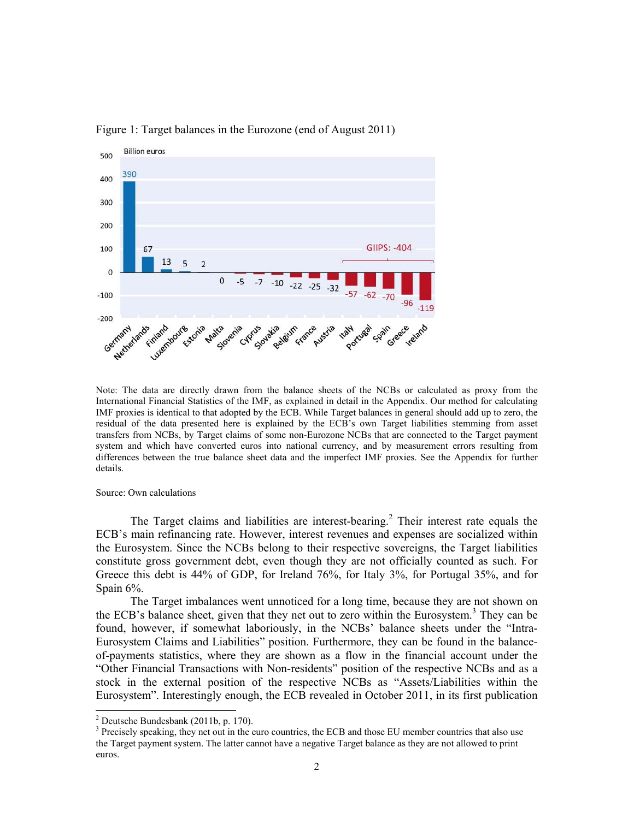

Figure 1: Target balances in the Eurozone (end of August 2011)

Note: The data are directly drawn from the balance sheets of the NCBs or calculated as proxy from the International Financial Statistics of the IMF, as explained in detail in the Appendix. Our method for calculating IMF proxies is identical to that adopted by the ECB. While Target balances in general should add up to zero, the residual of the data presented here is explained by the ECB's own Target liabilities stemming from asset transfers from NCBs, by Target claims of some non-Eurozone NCBs that are connected to the Target payment system and which have converted euros into national currency, and by measurement errors resulting from differences between the true balance sheet data and the imperfect IMF proxies. See the Appendix for further details.

#### Source: Own calculations

The Target claims and liabilities are interest-bearing.<sup>2</sup> Their interest rate equals the ECB's main refinancing rate. However, interest revenues and expenses are socialized within the Eurosystem. Since the NCBs belong to their respective sovereigns, the Target liabilities constitute gross government debt, even though they are not officially counted as such. For Greece this debt is 44% of GDP, for Ireland 76%, for Italy 3%, for Portugal 35%, and for Spain 6%.

 The Target imbalances went unnoticed for a long time, because they are not shown on the ECB's balance sheet, given that they net out to zero within the Eurosystem.<sup>3</sup> They can be found, however, if somewhat laboriously, in the NCBs' balance sheets under the "Intra-Eurosystem Claims and Liabilities" position. Furthermore, they can be found in the balanceof-payments statistics, where they are shown as a flow in the financial account under the "Other Financial Transactions with Non-residents" position of the respective NCBs and as a stock in the external position of the respective NCBs as "Assets/Liabilities within the Eurosystem". Interestingly enough, the ECB revealed in October 2011, in its first publication

 2 Deutsche Bundesbank (2011b, p. 170).

<sup>&</sup>lt;sup>3</sup> Precisely speaking, they net out in the euro countries, the ECB and those EU member countries that also use the Target payment system. The latter cannot have a negative Target balance as they are not allowed to print euros.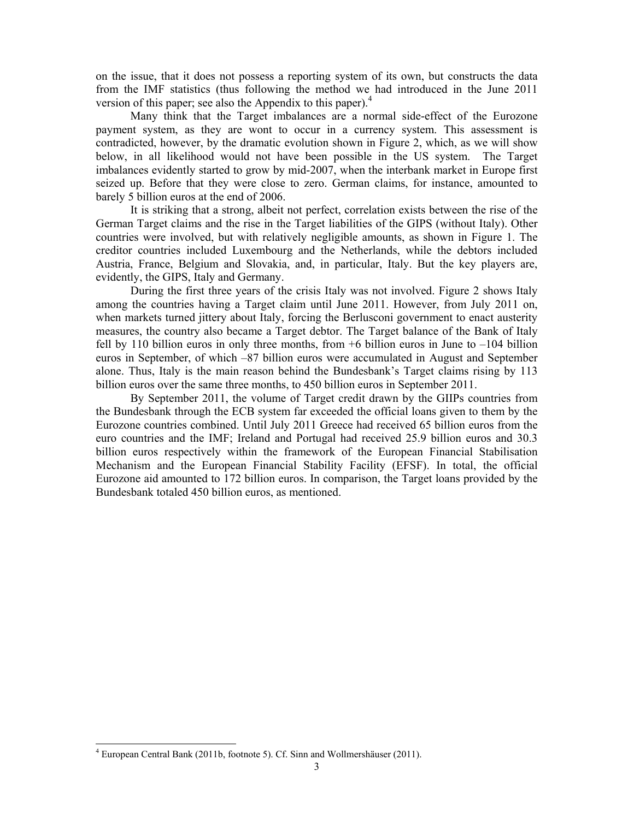on the issue, that it does not possess a reporting system of its own, but constructs the data from the IMF statistics (thus following the method we had introduced in the June 2011 version of this paper; see also the Appendix to this paper).<sup>4</sup>

 Many think that the Target imbalances are a normal side-effect of the Eurozone payment system, as they are wont to occur in a currency system. This assessment is contradicted, however, by the dramatic evolution shown in Figure 2, which, as we will show below, in all likelihood would not have been possible in the US system. The Target imbalances evidently started to grow by mid-2007, when the interbank market in Europe first seized up. Before that they were close to zero. German claims, for instance, amounted to barely 5 billion euros at the end of 2006.

 It is striking that a strong, albeit not perfect, correlation exists between the rise of the German Target claims and the rise in the Target liabilities of the GIPS (without Italy). Other countries were involved, but with relatively negligible amounts, as shown in Figure 1. The creditor countries included Luxembourg and the Netherlands, while the debtors included Austria, France, Belgium and Slovakia, and, in particular, Italy. But the key players are, evidently, the GIPS, Italy and Germany.

 During the first three years of the crisis Italy was not involved. Figure 2 shows Italy among the countries having a Target claim until June 2011. However, from July 2011 on, when markets turned jittery about Italy, forcing the Berlusconi government to enact austerity measures, the country also became a Target debtor. The Target balance of the Bank of Italy fell by 110 billion euros in only three months, from  $+6$  billion euros in June to  $-104$  billion euros in September, of which –87 billion euros were accumulated in August and September alone. Thus, Italy is the main reason behind the Bundesbank's Target claims rising by 113 billion euros over the same three months, to 450 billion euros in September 2011.

 By September 2011, the volume of Target credit drawn by the GIIPs countries from the Bundesbank through the ECB system far exceeded the official loans given to them by the Eurozone countries combined. Until July 2011 Greece had received 65 billion euros from the euro countries and the IMF; Ireland and Portugal had received 25.9 billion euros and 30.3 billion euros respectively within the framework of the European Financial Stabilisation Mechanism and the European Financial Stability Facility (EFSF). In total, the official Eurozone aid amounted to 172 billion euros. In comparison, the Target loans provided by the Bundesbank totaled 450 billion euros, as mentioned.

 4 European Central Bank (2011b, footnote 5). Cf. Sinn and Wollmershäuser (2011).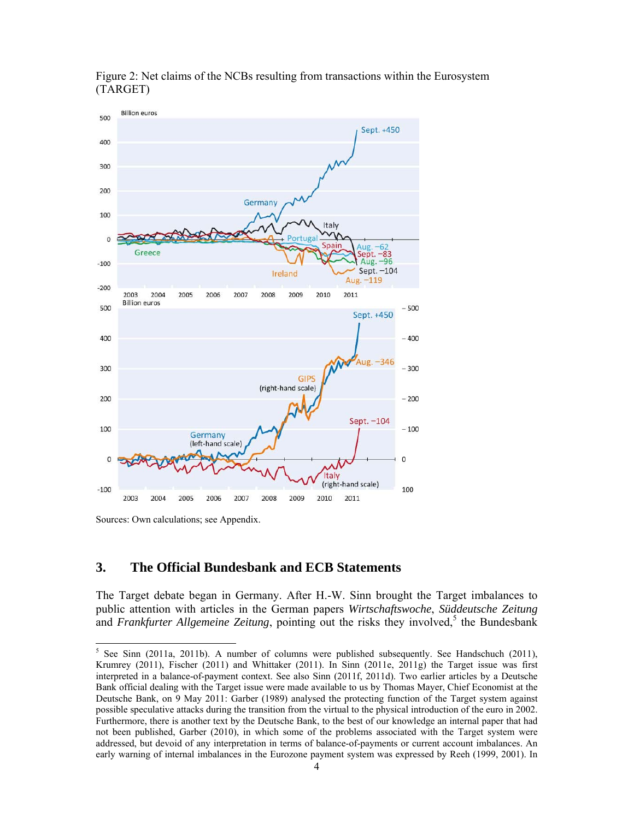

Figure 2: Net claims of the NCBs resulting from transactions within the Eurosystem (TARGET)

Sources: Own calculations; see Appendix.

#### **3. The Official Bundesbank and ECB Statements**

The Target debate began in Germany. After H.-W. Sinn brought the Target imbalances to public attention with articles in the German papers *Wirtschaftswoche*, *Süddeutsche Zeitung* and *Frankfurter Allgemeine Zeitung*, pointing out the risks they involved,<sup>5</sup> the Bundesbank

 $\frac{5}{5}$  See Sinn (2011a, 2011b). A number of columns were published subsequently. See Handschuch (2011), Krumrey (2011), Fischer (2011) and Whittaker (2011). In Sinn (2011e, 2011g) the Target issue was first interpreted in a balance-of-payment context. See also Sinn (2011f, 2011d). Two earlier articles by a Deutsche Bank official dealing with the Target issue were made available to us by Thomas Mayer, Chief Economist at the Deutsche Bank, on 9 May 2011: Garber (1989) analysed the protecting function of the Target system against possible speculative attacks during the transition from the virtual to the physical introduction of the euro in 2002. Furthermore, there is another text by the Deutsche Bank, to the best of our knowledge an internal paper that had not been published, Garber (2010), in which some of the problems associated with the Target system were addressed, but devoid of any interpretation in terms of balance-of-payments or current account imbalances. An early warning of internal imbalances in the Eurozone payment system was expressed by Reeh (1999, 2001). In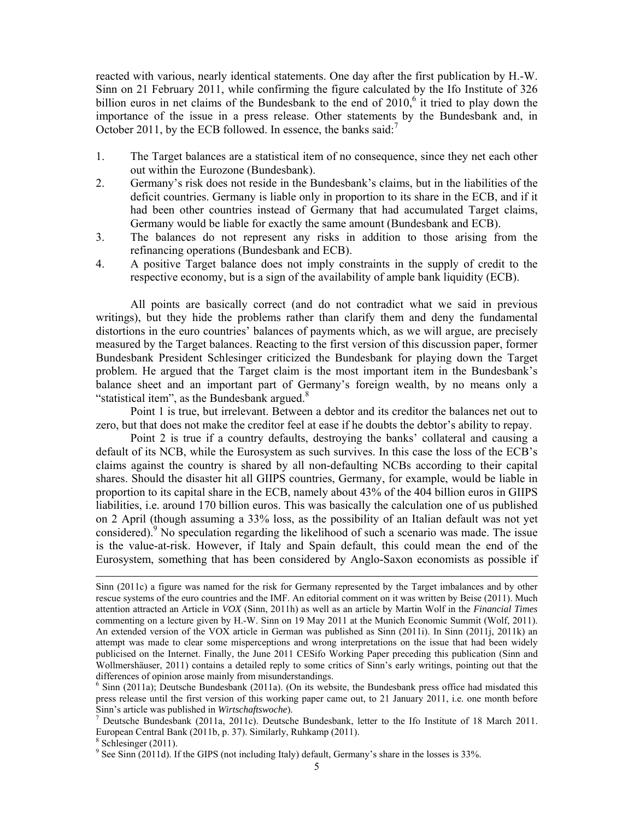reacted with various, nearly identical statements. One day after the first publication by H.-W. Sinn on 21 February 2011, while confirming the figure calculated by the Ifo Institute of 326 billion euros in net claims of the Bundesbank to the end of  $2010<sup>6</sup>$  it tried to play down the importance of the issue in a press release. Other statements by the Bundesbank and, in October 2011, by the ECB followed. In essence, the banks said: $<sup>7</sup>$ </sup>

- 1. The Target balances are a statistical item of no consequence, since they net each other out within the Eurozone (Bundesbank).
- 2. Germany's risk does not reside in the Bundesbank's claims, but in the liabilities of the deficit countries. Germany is liable only in proportion to its share in the ECB, and if it had been other countries instead of Germany that had accumulated Target claims, Germany would be liable for exactly the same amount (Bundesbank and ECB).
- 3. The balances do not represent any risks in addition to those arising from the refinancing operations (Bundesbank and ECB).
- 4. A positive Target balance does not imply constraints in the supply of credit to the respective economy, but is a sign of the availability of ample bank liquidity (ECB).

 All points are basically correct (and do not contradict what we said in previous writings), but they hide the problems rather than clarify them and deny the fundamental distortions in the euro countries' balances of payments which, as we will argue, are precisely measured by the Target balances. Reacting to the first version of this discussion paper, former Bundesbank President Schlesinger criticized the Bundesbank for playing down the Target problem. He argued that the Target claim is the most important item in the Bundesbank's balance sheet and an important part of Germany's foreign wealth, by no means only a "statistical item", as the Bundesbank argued. $8$ 

 Point 1 is true, but irrelevant. Between a debtor and its creditor the balances net out to zero, but that does not make the creditor feel at ease if he doubts the debtor's ability to repay.

 Point 2 is true if a country defaults, destroying the banks' collateral and causing a default of its NCB, while the Eurosystem as such survives. In this case the loss of the ECB's claims against the country is shared by all non-defaulting NCBs according to their capital shares. Should the disaster hit all GIIPS countries, Germany, for example, would be liable in proportion to its capital share in the ECB, namely about 43% of the 404 billion euros in GIIPS liabilities, i.e. around 170 billion euros. This was basically the calculation one of us published on 2 April (though assuming a 33% loss, as the possibility of an Italian default was not yet considered). No speculation regarding the likelihood of such a scenario was made. The issue is the value-at-risk. However, if Italy and Spain default, this could mean the end of the Eurosystem, something that has been considered by Anglo-Saxon economists as possible if

Sinn (2011c) a figure was named for the risk for Germany represented by the Target imbalances and by other rescue systems of the euro countries and the IMF. An editorial comment on it was written by Beise (2011). Much attention attracted an Article in *VOX* (Sinn, 2011h) as well as an article by Martin Wolf in the *Financial Times* commenting on a lecture given by H.-W. Sinn on 19 May 2011 at the Munich Economic Summit (Wolf, 2011). An extended version of the VOX article in German was published as Sinn (2011i). In Sinn (2011j, 2011k) an attempt was made to clear some misperceptions and wrong interpretations on the issue that had been widely publicised on the Internet. Finally, the June 2011 CESifo Working Paper preceding this publication (Sinn and Wollmershäuser, 2011) contains a detailed reply to some critics of Sinn's early writings, pointing out that the differences of opinion arose mainly from misunderstandings.

<sup>&</sup>lt;sup>6</sup> Sinn (2011a); Deutsche Bundesbank (2011a). (On its website, the Bundesbank press office had misdated this press release until the first version of this working paper came out, to 21 January 2011, i.e. one month before Sinn's article was published in *Wirtschaftswoche*). 7

Deutsche Bundesbank (2011a, 2011c). Deutsche Bundesbank, letter to the Ifo Institute of 18 March 2011. European Central Bank (2011b, p. 37). Similarly, Ruhkamp (2011).

<sup>8</sup> Schlesinger (2011).

<sup>&</sup>lt;sup>9</sup> See Sinn (2011d). If the GIPS (not including Italy) default, Germany's share in the losses is 33%.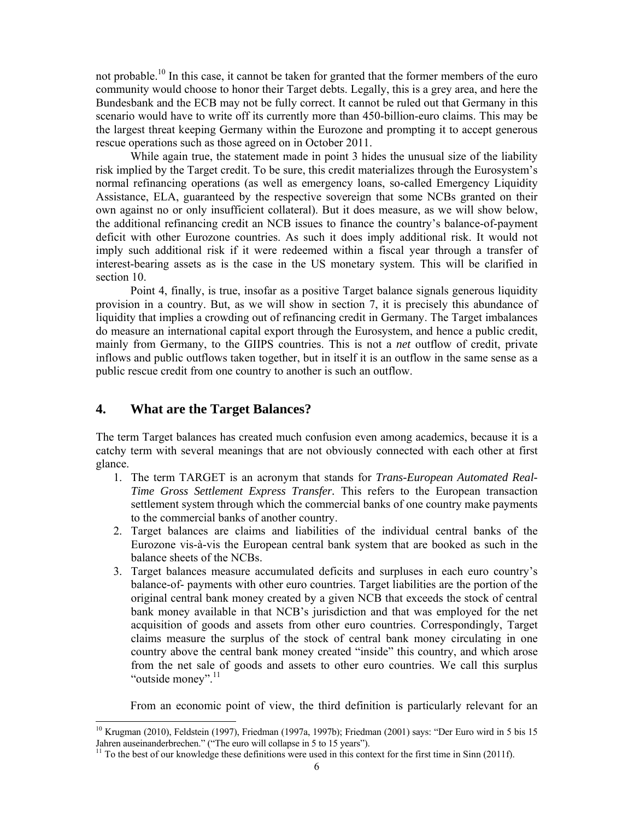not probable.<sup>10</sup> In this case, it cannot be taken for granted that the former members of the euro community would choose to honor their Target debts. Legally, this is a grey area, and here the Bundesbank and the ECB may not be fully correct. It cannot be ruled out that Germany in this scenario would have to write off its currently more than 450-billion-euro claims. This may be the largest threat keeping Germany within the Eurozone and prompting it to accept generous rescue operations such as those agreed on in October 2011.

 While again true, the statement made in point 3 hides the unusual size of the liability risk implied by the Target credit. To be sure, this credit materializes through the Eurosystem's normal refinancing operations (as well as emergency loans, so-called Emergency Liquidity Assistance, ELA, guaranteed by the respective sovereign that some NCBs granted on their own against no or only insufficient collateral). But it does measure, as we will show below, the additional refinancing credit an NCB issues to finance the country's balance-of-payment deficit with other Eurozone countries. As such it does imply additional risk. It would not imply such additional risk if it were redeemed within a fiscal year through a transfer of interest-bearing assets as is the case in the US monetary system. This will be clarified in section 10.

 Point 4, finally, is true, insofar as a positive Target balance signals generous liquidity provision in a country. But, as we will show in section 7, it is precisely this abundance of liquidity that implies a crowding out of refinancing credit in Germany. The Target imbalances do measure an international capital export through the Eurosystem, and hence a public credit, mainly from Germany, to the GIIPS countries. This is not a *net* outflow of credit, private inflows and public outflows taken together, but in itself it is an outflow in the same sense as a public rescue credit from one country to another is such an outflow.

## **4. What are the Target Balances?**

 $\overline{a}$ 

The term Target balances has created much confusion even among academics, because it is a catchy term with several meanings that are not obviously connected with each other at first glance.

- 1. The term TARGET is an acronym that stands for *Trans-European Automated Real-Time Gross Settlement Express Transfer.* This refers to the European transaction settlement system through which the commercial banks of one country make payments to the commercial banks of another country.
- 2. Target balances are claims and liabilities of the individual central banks of the Eurozone vis-à-vis the European central bank system that are booked as such in the balance sheets of the NCBs.
- 3. Target balances measure accumulated deficits and surpluses in each euro country's balance-of- payments with other euro countries. Target liabilities are the portion of the original central bank money created by a given NCB that exceeds the stock of central bank money available in that NCB's jurisdiction and that was employed for the net acquisition of goods and assets from other euro countries. Correspondingly, Target claims measure the surplus of the stock of central bank money circulating in one country above the central bank money created "inside" this country, and which arose from the net sale of goods and assets to other euro countries. We call this surplus "outside money".<sup>11</sup>

From an economic point of view, the third definition is particularly relevant for an

<sup>&</sup>lt;sup>10</sup> Krugman (2010), Feldstein (1997), Friedman (1997a, 1997b); Friedman (2001) says: "Der Euro wird in 5 bis 15 Jahren auseinanderbrechen." ("The euro will collapse in 5 to 15 years").

<sup>11</sup> To the best of our knowledge these definitions were used in this context for the first time in Sinn (2011f).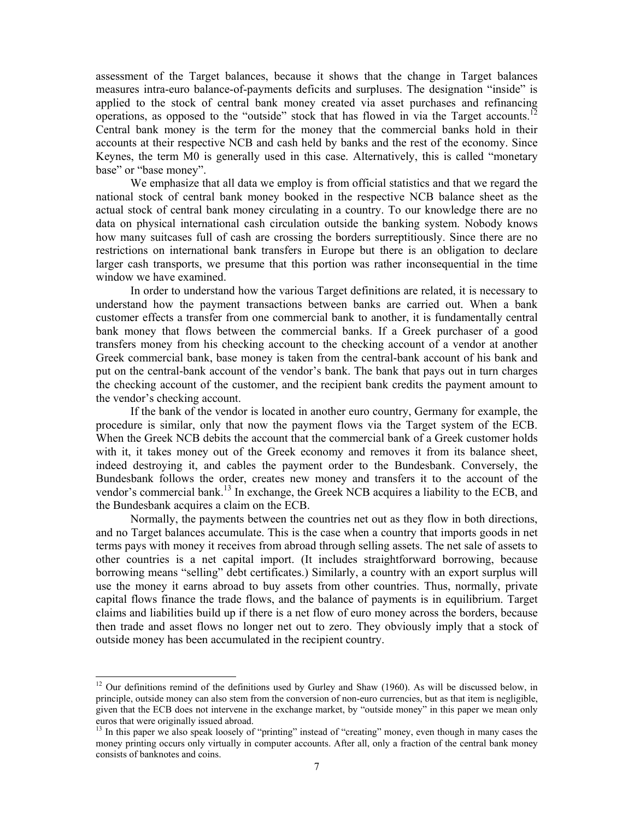assessment of the Target balances, because it shows that the change in Target balances measures intra-euro balance-of-payments deficits and surpluses. The designation "inside" is applied to the stock of central bank money created via asset purchases and refinancing operations, as opposed to the "outside" stock that has flowed in via the Target accounts.12 Central bank money is the term for the money that the commercial banks hold in their accounts at their respective NCB and cash held by banks and the rest of the economy. Since Keynes, the term M0 is generally used in this case. Alternatively, this is called "monetary base" or "base money".

 We emphasize that all data we employ is from official statistics and that we regard the national stock of central bank money booked in the respective NCB balance sheet as the actual stock of central bank money circulating in a country. To our knowledge there are no data on physical international cash circulation outside the banking system. Nobody knows how many suitcases full of cash are crossing the borders surreptitiously. Since there are no restrictions on international bank transfers in Europe but there is an obligation to declare larger cash transports, we presume that this portion was rather inconsequential in the time window we have examined.

 In order to understand how the various Target definitions are related, it is necessary to understand how the payment transactions between banks are carried out. When a bank customer effects a transfer from one commercial bank to another, it is fundamentally central bank money that flows between the commercial banks. If a Greek purchaser of a good transfers money from his checking account to the checking account of a vendor at another Greek commercial bank, base money is taken from the central-bank account of his bank and put on the central-bank account of the vendor's bank. The bank that pays out in turn charges the checking account of the customer, and the recipient bank credits the payment amount to the vendor's checking account.

 If the bank of the vendor is located in another euro country, Germany for example, the procedure is similar, only that now the payment flows via the Target system of the ECB. When the Greek NCB debits the account that the commercial bank of a Greek customer holds with it, it takes money out of the Greek economy and removes it from its balance sheet, indeed destroying it, and cables the payment order to the Bundesbank. Conversely, the Bundesbank follows the order, creates new money and transfers it to the account of the vendor's commercial bank.13 In exchange, the Greek NCB acquires a liability to the ECB, and the Bundesbank acquires a claim on the ECB.

 Normally, the payments between the countries net out as they flow in both directions, and no Target balances accumulate. This is the case when a country that imports goods in net terms pays with money it receives from abroad through selling assets. The net sale of assets to other countries is a net capital import. (It includes straightforward borrowing, because borrowing means "selling" debt certificates.) Similarly, a country with an export surplus will use the money it earns abroad to buy assets from other countries. Thus, normally, private capital flows finance the trade flows, and the balance of payments is in equilibrium. Target claims and liabilities build up if there is a net flow of euro money across the borders, because then trade and asset flows no longer net out to zero. They obviously imply that a stock of outside money has been accumulated in the recipient country.

l

 $12$  Our definitions remind of the definitions used by Gurley and Shaw (1960). As will be discussed below, in principle, outside money can also stem from the conversion of non-euro currencies, but as that item is negligible, given that the ECB does not intervene in the exchange market, by "outside money" in this paper we mean only euros that were originally issued abroad.

<sup>&</sup>lt;sup>13</sup> In this paper we also speak loosely of "printing" instead of "creating" money, even though in many cases the money printing occurs only virtually in computer accounts. After all, only a fraction of the central bank money consists of banknotes and coins.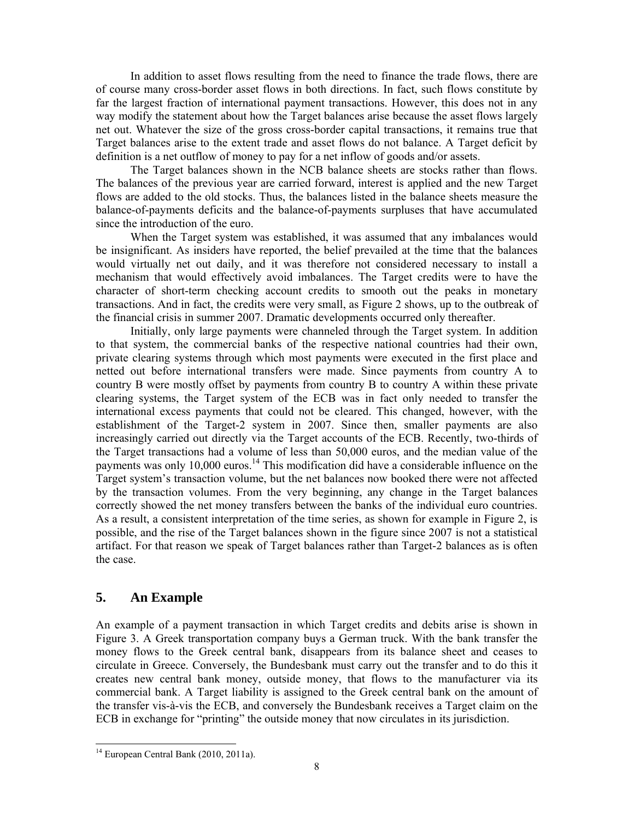In addition to asset flows resulting from the need to finance the trade flows, there are of course many cross-border asset flows in both directions. In fact, such flows constitute by far the largest fraction of international payment transactions. However, this does not in any way modify the statement about how the Target balances arise because the asset flows largely net out. Whatever the size of the gross cross-border capital transactions, it remains true that Target balances arise to the extent trade and asset flows do not balance. A Target deficit by definition is a net outflow of money to pay for a net inflow of goods and/or assets.

 The Target balances shown in the NCB balance sheets are stocks rather than flows. The balances of the previous year are carried forward, interest is applied and the new Target flows are added to the old stocks. Thus, the balances listed in the balance sheets measure the balance-of-payments deficits and the balance-of-payments surpluses that have accumulated since the introduction of the euro.

 When the Target system was established, it was assumed that any imbalances would be insignificant. As insiders have reported, the belief prevailed at the time that the balances would virtually net out daily, and it was therefore not considered necessary to install a mechanism that would effectively avoid imbalances. The Target credits were to have the character of short-term checking account credits to smooth out the peaks in monetary transactions. And in fact, the credits were very small, as Figure 2 shows, up to the outbreak of the financial crisis in summer 2007. Dramatic developments occurred only thereafter.

 Initially, only large payments were channeled through the Target system. In addition to that system, the commercial banks of the respective national countries had their own, private clearing systems through which most payments were executed in the first place and netted out before international transfers were made. Since payments from country A to country B were mostly offset by payments from country B to country A within these private clearing systems, the Target system of the ECB was in fact only needed to transfer the international excess payments that could not be cleared. This changed, however, with the establishment of the Target-2 system in 2007. Since then, smaller payments are also increasingly carried out directly via the Target accounts of the ECB. Recently, two-thirds of the Target transactions had a volume of less than 50,000 euros, and the median value of the payments was only 10,000 euros.<sup>14</sup> This modification did have a considerable influence on the Target system's transaction volume, but the net balances now booked there were not affected by the transaction volumes. From the very beginning, any change in the Target balances correctly showed the net money transfers between the banks of the individual euro countries. As a result, a consistent interpretation of the time series, as shown for example in Figure 2, is possible, and the rise of the Target balances shown in the figure since 2007 is not a statistical artifact. For that reason we speak of Target balances rather than Target-2 balances as is often the case.

# **5. An Example**

An example of a payment transaction in which Target credits and debits arise is shown in Figure 3. A Greek transportation company buys a German truck. With the bank transfer the money flows to the Greek central bank, disappears from its balance sheet and ceases to circulate in Greece. Conversely, the Bundesbank must carry out the transfer and to do this it creates new central bank money, outside money, that flows to the manufacturer via its commercial bank. A Target liability is assigned to the Greek central bank on the amount of the transfer vis-à-vis the ECB, and conversely the Bundesbank receives a Target claim on the ECB in exchange for "printing" the outside money that now circulates in its jurisdiction.

l <sup>14</sup> European Central Bank (2010, 2011a).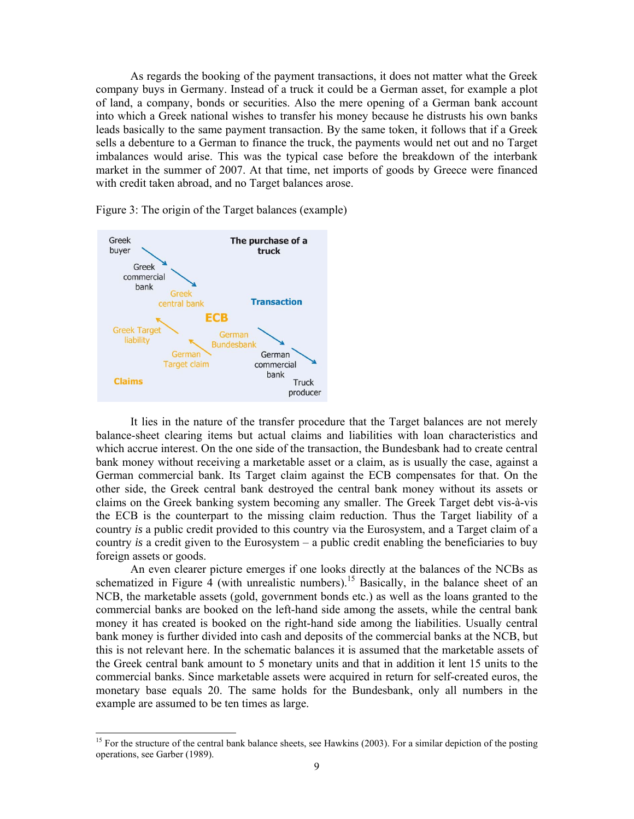As regards the booking of the payment transactions, it does not matter what the Greek company buys in Germany. Instead of a truck it could be a German asset, for example a plot of land, a company, bonds or securities. Also the mere opening of a German bank account into which a Greek national wishes to transfer his money because he distrusts his own banks leads basically to the same payment transaction. By the same token, it follows that if a Greek sells a debenture to a German to finance the truck, the payments would net out and no Target imbalances would arise. This was the typical case before the breakdown of the interbank market in the summer of 2007. At that time, net imports of goods by Greece were financed with credit taken abroad, and no Target balances arose.



 $\overline{a}$ 

Figure 3: The origin of the Target balances (example)

It lies in the nature of the transfer procedure that the Target balances are not merely balance-sheet clearing items but actual claims and liabilities with loan characteristics and which accrue interest. On the one side of the transaction, the Bundesbank had to create central bank money without receiving a marketable asset or a claim, as is usually the case, against a German commercial bank. Its Target claim against the ECB compensates for that. On the other side, the Greek central bank destroyed the central bank money without its assets or claims on the Greek banking system becoming any smaller. The Greek Target debt vis-à-vis the ECB is the counterpart to the missing claim reduction. Thus the Target liability of a country *is* a public credit provided to this country via the Eurosystem, and a Target claim of a country *is* a credit given to the Eurosystem – a public credit enabling the beneficiaries to buy foreign assets or goods.

 An even clearer picture emerges if one looks directly at the balances of the NCBs as schematized in Figure  $\hat{4}$  (with unrealistic numbers).<sup>15</sup> Basically, in the balance sheet of an NCB, the marketable assets (gold, government bonds etc.) as well as the loans granted to the commercial banks are booked on the left-hand side among the assets, while the central bank money it has created is booked on the right-hand side among the liabilities. Usually central bank money is further divided into cash and deposits of the commercial banks at the NCB, but this is not relevant here. In the schematic balances it is assumed that the marketable assets of the Greek central bank amount to 5 monetary units and that in addition it lent 15 units to the commercial banks. Since marketable assets were acquired in return for self-created euros, the monetary base equals 20. The same holds for the Bundesbank, only all numbers in the example are assumed to be ten times as large.

<sup>&</sup>lt;sup>15</sup> For the structure of the central bank balance sheets, see Hawkins (2003). For a similar depiction of the posting operations, see Garber (1989).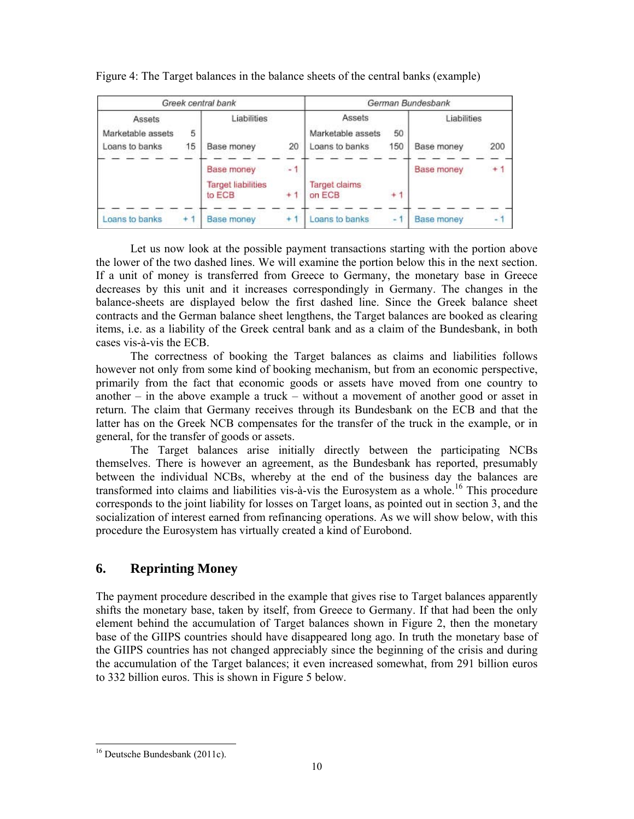| Greek central bank |      |                           |        | German Bundesbank |      |                   |      |
|--------------------|------|---------------------------|--------|-------------------|------|-------------------|------|
| Assets             |      | Liabilities               | Assets |                   |      | Liabilities       |      |
| Marketable assets  | 5    |                           |        | Marketable assets | 50   |                   |      |
| Loans to banks     | 15   | Base money                | 20     | Loans to banks    | 150  | Base money        | 200  |
|                    |      | <b>Base money</b>         | $-1$   |                   |      | <b>Base money</b> | $+1$ |
|                    |      | <b>Target liabilities</b> |        | Target claims     |      |                   |      |
|                    |      | to ECB                    | $+1$   | on ECB            | $+1$ |                   |      |
| Loans to banks     | $+1$ | <b>Base money</b>         | $+1$   | Loans to banks    | ×    | <b>Base money</b> | ٠    |

Figure 4: The Target balances in the balance sheets of the central banks (example)

 Let us now look at the possible payment transactions starting with the portion above the lower of the two dashed lines. We will examine the portion below this in the next section. If a unit of money is transferred from Greece to Germany, the monetary base in Greece decreases by this unit and it increases correspondingly in Germany. The changes in the balance-sheets are displayed below the first dashed line. Since the Greek balance sheet contracts and the German balance sheet lengthens, the Target balances are booked as clearing items, i.e. as a liability of the Greek central bank and as a claim of the Bundesbank, in both cases vis-à-vis the ECB.

 The correctness of booking the Target balances as claims and liabilities follows however not only from some kind of booking mechanism, but from an economic perspective, primarily from the fact that economic goods or assets have moved from one country to another – in the above example a truck – without a movement of another good or asset in return. The claim that Germany receives through its Bundesbank on the ECB and that the latter has on the Greek NCB compensates for the transfer of the truck in the example, or in general, for the transfer of goods or assets.

 The Target balances arise initially directly between the participating NCBs themselves. There is however an agreement, as the Bundesbank has reported, presumably between the individual NCBs, whereby at the end of the business day the balances are transformed into claims and liabilities vis-à-vis the Eurosystem as a whole.<sup>16</sup> This procedure corresponds to the joint liability for losses on Target loans, as pointed out in section 3, and the socialization of interest earned from refinancing operations. As we will show below, with this procedure the Eurosystem has virtually created a kind of Eurobond.

# **6. Reprinting Money**

The payment procedure described in the example that gives rise to Target balances apparently shifts the monetary base, taken by itself, from Greece to Germany. If that had been the only element behind the accumulation of Target balances shown in Figure 2, then the monetary base of the GIIPS countries should have disappeared long ago. In truth the monetary base of the GIIPS countries has not changed appreciably since the beginning of the crisis and during the accumulation of the Target balances; it even increased somewhat, from 291 billion euros to 332 billion euros. This is shown in Figure 5 below.

l 16 Deutsche Bundesbank (2011c).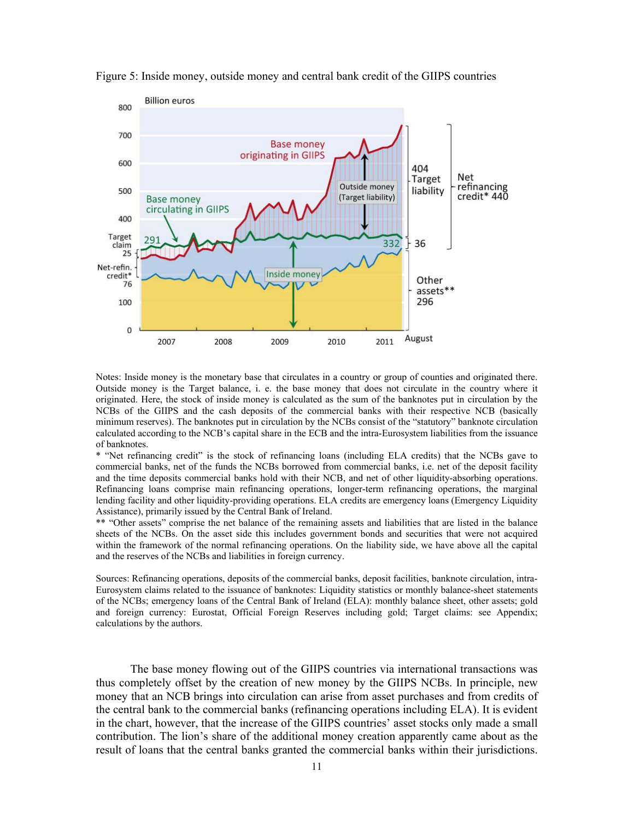

Figure 5: Inside money, outside money and central bank credit of the GIIPS countries

Notes: Inside money is the monetary base that circulates in a country or group of counties and originated there. Outside money is the Target balance, i. e. the base money that does not circulate in the country where it originated. Here, the stock of inside money is calculated as the sum of the banknotes put in circulation by the NCBs of the GIIPS and the cash deposits of the commercial banks with their respective NCB (basically minimum reserves). The banknotes put in circulation by the NCBs consist of the "statutory" banknote circulation calculated according to the NCB's capital share in the ECB and the intra-Eurosystem liabilities from the issuance of banknotes.

\* "Net refinancing credit" is the stock of refinancing loans (including ELA credits) that the NCBs gave to commercial banks, net of the funds the NCBs borrowed from commercial banks, i.e. net of the deposit facility and the time deposits commercial banks hold with their NCB, and net of other liquidity-absorbing operations. Refinancing loans comprise main refinancing operations, longer-term refinancing operations, the marginal lending facility and other liquidity-providing operations. ELA credits are emergency loans (Emergency Liquidity Assistance), primarily issued by the Central Bank of Ireland.

\*\* "Other assets" comprise the net balance of the remaining assets and liabilities that are listed in the balance sheets of the NCBs. On the asset side this includes government bonds and securities that were not acquired within the framework of the normal refinancing operations. On the liability side, we have above all the capital and the reserves of the NCBs and liabilities in foreign currency.

Sources: Refinancing operations, deposits of the commercial banks, deposit facilities, banknote circulation, intra-Eurosystem claims related to the issuance of banknotes: Liquidity statistics or monthly balance-sheet statements of the NCBs; emergency loans of the Central Bank of Ireland (ELA): monthly balance sheet, other assets; gold and foreign currency: Eurostat, Official Foreign Reserves including gold; Target claims: see Appendix; calculations by the authors.

 The base money flowing out of the GIIPS countries via international transactions was thus completely offset by the creation of new money by the GIIPS NCBs. In principle, new money that an NCB brings into circulation can arise from asset purchases and from credits of the central bank to the commercial banks (refinancing operations including ELA). It is evident in the chart, however, that the increase of the GIIPS countries' asset stocks only made a small contribution. The lion's share of the additional money creation apparently came about as the result of loans that the central banks granted the commercial banks within their jurisdictions.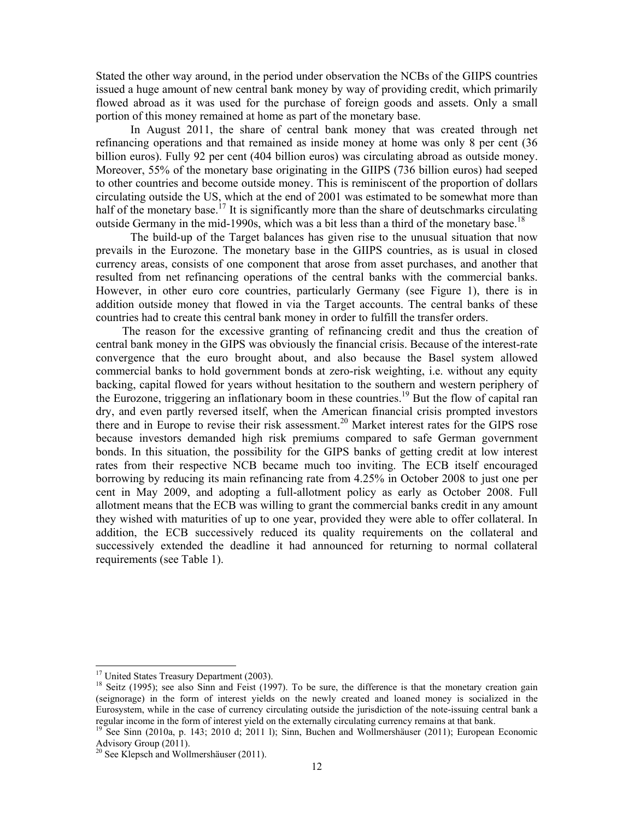Stated the other way around, in the period under observation the NCBs of the GIIPS countries issued a huge amount of new central bank money by way of providing credit, which primarily flowed abroad as it was used for the purchase of foreign goods and assets. Only a small portion of this money remained at home as part of the monetary base.

 In August 2011, the share of central bank money that was created through net refinancing operations and that remained as inside money at home was only 8 per cent (36 billion euros). Fully 92 per cent (404 billion euros) was circulating abroad as outside money. Moreover, 55% of the monetary base originating in the GIIPS (736 billion euros) had seeped to other countries and become outside money. This is reminiscent of the proportion of dollars circulating outside the US, which at the end of 2001 was estimated to be somewhat more than half of the monetary base.<sup>17</sup> It is significantly more than the share of deutschmarks circulating outside Germany in the mid-1990s, which was a bit less than a third of the monetary base.<sup>18</sup>

 The build-up of the Target balances has given rise to the unusual situation that now prevails in the Eurozone. The monetary base in the GIIPS countries, as is usual in closed currency areas, consists of one component that arose from asset purchases, and another that resulted from net refinancing operations of the central banks with the commercial banks. However, in other euro core countries, particularly Germany (see Figure 1), there is in addition outside money that flowed in via the Target accounts. The central banks of these countries had to create this central bank money in order to fulfill the transfer orders.

The reason for the excessive granting of refinancing credit and thus the creation of central bank money in the GIPS was obviously the financial crisis. Because of the interest-rate convergence that the euro brought about, and also because the Basel system allowed commercial banks to hold government bonds at zero-risk weighting, i.e. without any equity backing, capital flowed for years without hesitation to the southern and western periphery of the Eurozone, triggering an inflationary boom in these countries.<sup>19</sup> But the flow of capital ran dry, and even partly reversed itself, when the American financial crisis prompted investors there and in Europe to revise their risk assessment.<sup>20</sup> Market interest rates for the GIPS rose because investors demanded high risk premiums compared to safe German government bonds. In this situation, the possibility for the GIPS banks of getting credit at low interest rates from their respective NCB became much too inviting. The ECB itself encouraged borrowing by reducing its main refinancing rate from 4.25% in October 2008 to just one per cent in May 2009, and adopting a full-allotment policy as early as October 2008. Full allotment means that the ECB was willing to grant the commercial banks credit in any amount they wished with maturities of up to one year, provided they were able to offer collateral. In addition, the ECB successively reduced its quality requirements on the collateral and successively extended the deadline it had announced for returning to normal collateral requirements (see Table 1).

l

<sup>&</sup>lt;sup>17</sup> United States Treasury Department (2003).

<sup>&</sup>lt;sup>18</sup> Seitz (1995); see also Sinn and Feist (1997). To be sure, the difference is that the monetary creation gain (seignorage) in the form of interest yields on the newly created and loaned money is socialized in the Eurosystem, while in the case of currency circulating outside the jurisdiction of the note-issuing central bank a regular income in the form of interest yield on the externally circulating currency remains at that bank.<br><sup>19</sup> See Sinn (2010a, p. 143; 2010 d; 2011 l); Sinn, Buchen and Wollmershäuser (2011); European Economic

Advisory Group (2011).

<sup>&</sup>lt;sup>20</sup> See Klepsch and Wollmershäuser (2011).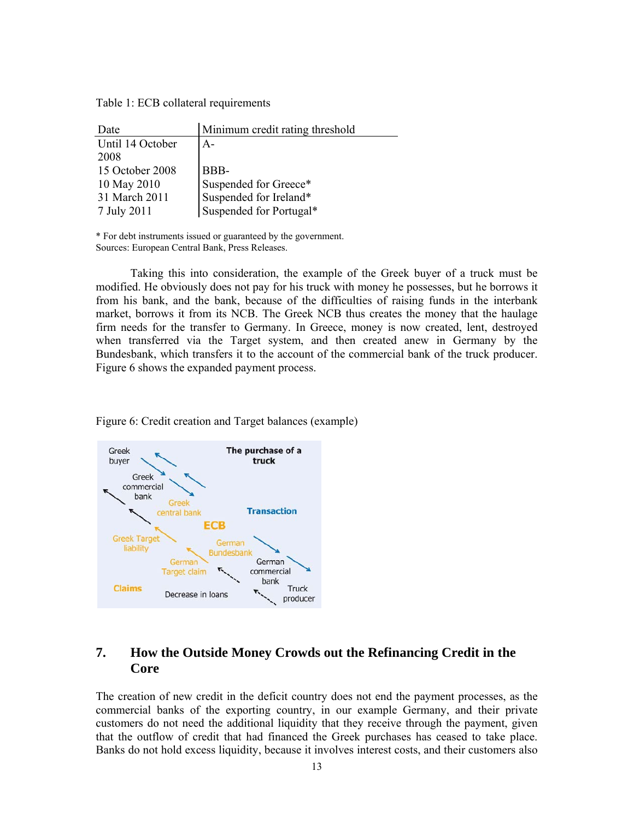Table 1: ECB collateral requirements

| Date             | Minimum credit rating threshold |
|------------------|---------------------------------|
| Until 14 October | $A -$                           |
| 2008             |                                 |
| 15 October 2008  | BBB-                            |
| 10 May 2010      | Suspended for Greece*           |
| 31 March 2011    | Suspended for Ireland*          |
| 7 July 2011      | Suspended for Portugal*         |

\* For debt instruments issued or guaranteed by the government. Sources: European Central Bank, Press Releases.

 Taking this into consideration, the example of the Greek buyer of a truck must be modified. He obviously does not pay for his truck with money he possesses, but he borrows it from his bank, and the bank, because of the difficulties of raising funds in the interbank market, borrows it from its NCB. The Greek NCB thus creates the money that the haulage firm needs for the transfer to Germany. In Greece, money is now created, lent, destroyed when transferred via the Target system, and then created anew in Germany by the Bundesbank, which transfers it to the account of the commercial bank of the truck producer. Figure 6 shows the expanded payment process.



Figure 6: Credit creation and Target balances (example)

# **7. How the Outside Money Crowds out the Refinancing Credit in the Core**

The creation of new credit in the deficit country does not end the payment processes, as the commercial banks of the exporting country, in our example Germany, and their private customers do not need the additional liquidity that they receive through the payment, given that the outflow of credit that had financed the Greek purchases has ceased to take place. Banks do not hold excess liquidity, because it involves interest costs, and their customers also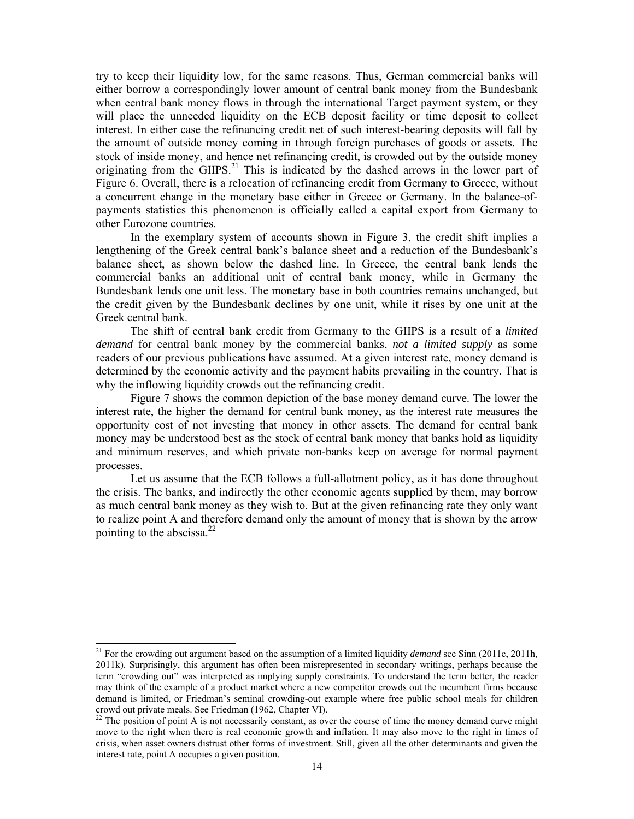try to keep their liquidity low, for the same reasons. Thus, German commercial banks will either borrow a correspondingly lower amount of central bank money from the Bundesbank when central bank money flows in through the international Target payment system, or they will place the unneeded liquidity on the ECB deposit facility or time deposit to collect interest. In either case the refinancing credit net of such interest-bearing deposits will fall by the amount of outside money coming in through foreign purchases of goods or assets. The stock of inside money, and hence net refinancing credit, is crowded out by the outside money originating from the GIIPS.<sup>21</sup> This is indicated by the dashed arrows in the lower part of Figure 6. Overall, there is a relocation of refinancing credit from Germany to Greece, without a concurrent change in the monetary base either in Greece or Germany. In the balance-ofpayments statistics this phenomenon is officially called a capital export from Germany to other Eurozone countries.

 In the exemplary system of accounts shown in Figure 3, the credit shift implies a lengthening of the Greek central bank's balance sheet and a reduction of the Bundesbank's balance sheet, as shown below the dashed line. In Greece, the central bank lends the commercial banks an additional unit of central bank money, while in Germany the Bundesbank lends one unit less. The monetary base in both countries remains unchanged, but the credit given by the Bundesbank declines by one unit, while it rises by one unit at the Greek central bank.

 The shift of central bank credit from Germany to the GIIPS is a result of a *limited demand* for central bank money by the commercial banks, *not a limited supply* as some readers of our previous publications have assumed. At a given interest rate, money demand is determined by the economic activity and the payment habits prevailing in the country. That is why the inflowing liquidity crowds out the refinancing credit.

 Figure 7 shows the common depiction of the base money demand curve. The lower the interest rate, the higher the demand for central bank money, as the interest rate measures the opportunity cost of not investing that money in other assets. The demand for central bank money may be understood best as the stock of central bank money that banks hold as liquidity and minimum reserves, and which private non-banks keep on average for normal payment processes.

 Let us assume that the ECB follows a full-allotment policy, as it has done throughout the crisis. The banks, and indirectly the other economic agents supplied by them, may borrow as much central bank money as they wish to. But at the given refinancing rate they only want to realize point A and therefore demand only the amount of money that is shown by the arrow pointing to the abscissa. $^{22}$ 

<sup>&</sup>lt;sup>21</sup> For the crowding out argument based on the assumption of a limited liquidity *demand* see Sinn (2011e, 2011h, 2011k). Surprisingly, this argument has often been misrepresented in secondary writings, perhaps because the term "crowding out" was interpreted as implying supply constraints. To understand the term better, the reader may think of the example of a product market where a new competitor crowds out the incumbent firms because demand is limited, or Friedman's seminal crowding-out example where free public school meals for children crowd out private meals. See Friedman (1962, Chapter VI).

 $22$  The position of point A is not necessarily constant, as over the course of time the money demand curve might move to the right when there is real economic growth and inflation. It may also move to the right in times of crisis, when asset owners distrust other forms of investment. Still, given all the other determinants and given the interest rate, point A occupies a given position.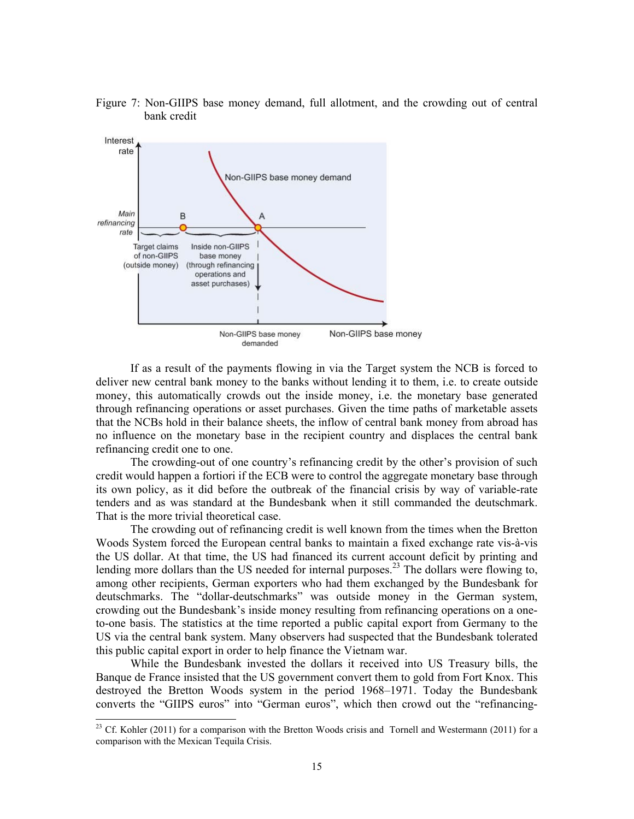

Figure 7: Non-GIIPS base money demand, full allotment, and the crowding out of central bank credit

 If as a result of the payments flowing in via the Target system the NCB is forced to deliver new central bank money to the banks without lending it to them, i.e. to create outside money, this automatically crowds out the inside money, i.e. the monetary base generated through refinancing operations or asset purchases. Given the time paths of marketable assets that the NCBs hold in their balance sheets, the inflow of central bank money from abroad has no influence on the monetary base in the recipient country and displaces the central bank refinancing credit one to one.

 The crowding-out of one country's refinancing credit by the other's provision of such credit would happen a fortiori if the ECB were to control the aggregate monetary base through its own policy, as it did before the outbreak of the financial crisis by way of variable-rate tenders and as was standard at the Bundesbank when it still commanded the deutschmark. That is the more trivial theoretical case.

 The crowding out of refinancing credit is well known from the times when the Bretton Woods System forced the European central banks to maintain a fixed exchange rate vis-à-vis the US dollar. At that time, the US had financed its current account deficit by printing and lending more dollars than the US needed for internal purposes.<sup>23</sup> The dollars were flowing to, among other recipients, German exporters who had them exchanged by the Bundesbank for deutschmarks. The "dollar-deutschmarks" was outside money in the German system, crowding out the Bundesbank's inside money resulting from refinancing operations on a oneto-one basis. The statistics at the time reported a public capital export from Germany to the US via the central bank system. Many observers had suspected that the Bundesbank tolerated this public capital export in order to help finance the Vietnam war.

 While the Bundesbank invested the dollars it received into US Treasury bills, the Banque de France insisted that the US government convert them to gold from Fort Knox. This destroyed the Bretton Woods system in the period 1968–1971. Today the Bundesbank converts the "GIIPS euros" into "German euros", which then crowd out the "refinancing-

 $2<sup>23</sup>$  Cf. Kohler (2011) for a comparison with the Bretton Woods crisis and Tornell and Westermann (2011) for a comparison with the Mexican Tequila Crisis.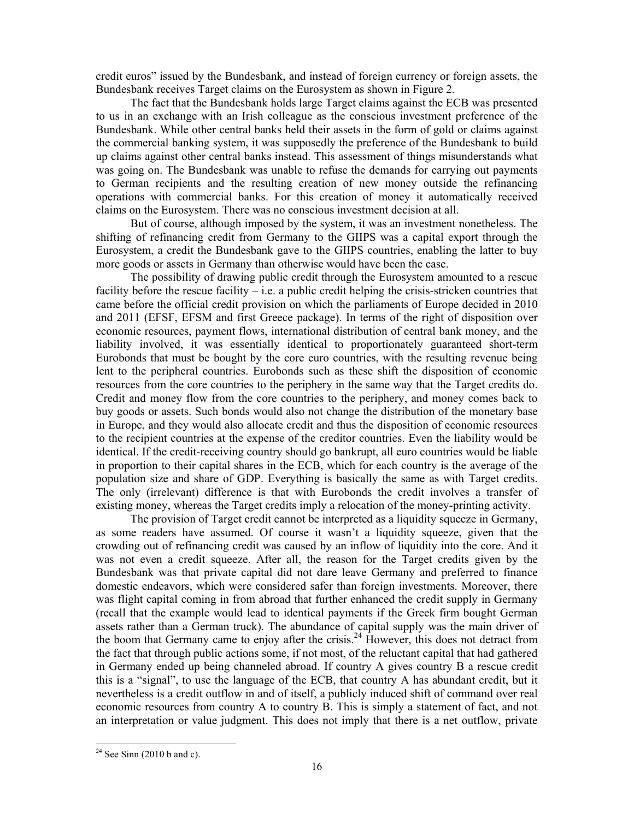credit euros" issued by the Bundesbank, and instead of foreign currency or foreign assets, the Bundesbank receives Target claims on the Eurosystem as shown in Figure 2.

 The fact that the Bundesbank holds large Target claims against the ECB was presented to us in an exchange with an Irish colleague as the conscious investment preference of the Bundesbank. While other central banks held their assets in the form of gold or claims against the commercial banking system, it was supposedly the preference of the Bundesbank to build up claims against other central banks instead. This assessment of things misunderstands what was going on. The Bundesbank was unable to refuse the demands for carrying out payments to German recipients and the resulting creation of new money outside the refinancing operations with commercial banks. For this creation of money it automatically received claims on the Eurosystem. There was no conscious investment decision at all.

 But of course, although imposed by the system, it was an investment nonetheless. The shifting of refinancing credit from Germany to the GIIPS was a capital export through the Eurosystem, a credit the Bundesbank gave to the GIIPS countries, enabling the latter to buy more goods or assets in Germany than otherwise would have been the case.

The possibility of drawing public credit through the Eurosystem amounted to a rescue facility before the rescue facility  $-$  i.e. a public credit helping the crisis-stricken countries that came before the official credit provision on which the parliaments of Europe decided in 2010 and 2011 (EFSF, EFSM and first Greece package). In terms of the right of disposition over economic resources, payment flows, international distribution of central bank money, and the liability involved, it was essentially identical to proportionately guaranteed short-term Eurobonds that must be bought by the core euro countries, with the resulting revenue being lent to the peripheral countries. Eurobonds such as these shift the disposition of economic resources from the core countries to the periphery in the same way that the Target credits do. Credit and money flow from the core countries to the periphery, and money comes back to buy goods or assets. Such bonds would also not change the distribution of the monetary base in Europe, and they would also allocate credit and thus the disposition of economic resources to the recipient countries at the expense of the creditor countries. Even the liability would be identical. If the credit-receiving country should go bankrupt, all euro countries would be liable in proportion to their capital shares in the ECB, which for each country is the average of the population size and share of GDP. Everything is basically the same as with Target credits. The only (irrelevant) difference is that with Eurobonds the credit involves a transfer of existing money, whereas the Target credits imply a relocation of the money-printing activity.

 The provision of Target credit cannot be interpreted as a liquidity squeeze in Germany, as some readers have assumed. Of course it wasn't a liquidity squeeze, given that the crowding out of refinancing credit was caused by an inflow of liquidity into the core. And it was not even a credit squeeze. After all, the reason for the Target credits given by the Bundesbank was that private capital did not dare leave Germany and preferred to finance domestic endeavors, which were considered safer than foreign investments. Moreover, there was flight capital coming in from abroad that further enhanced the credit supply in Germany (recall that the example would lead to identical payments if the Greek firm bought German assets rather than a German truck). The abundance of capital supply was the main driver of the boom that Germany came to enjoy after the crisis.<sup>24</sup> However, this does not detract from the fact that through public actions some, if not most, of the reluctant capital that had gathered in Germany ended up being channeled abroad. If country A gives country B a rescue credit this is a "signal", to use the language of the ECB, that country A has abundant credit, but it nevertheless is a credit outflow in and of itself, a publicly induced shift of command over real economic resources from country A to country B. This is simply a statement of fact, and not an interpretation or value judgment. This does not imply that there is a net outflow, private

l

 $2<sup>24</sup>$  See Sinn (2010 b and c).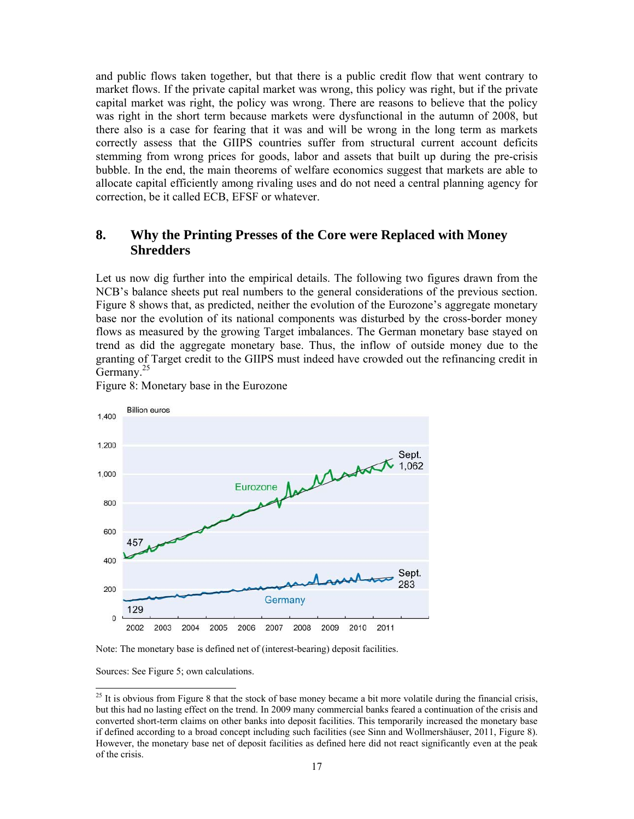and public flows taken together, but that there is a public credit flow that went contrary to market flows. If the private capital market was wrong, this policy was right, but if the private capital market was right, the policy was wrong. There are reasons to believe that the policy was right in the short term because markets were dysfunctional in the autumn of 2008, but there also is a case for fearing that it was and will be wrong in the long term as markets correctly assess that the GIIPS countries suffer from structural current account deficits stemming from wrong prices for goods, labor and assets that built up during the pre-crisis bubble. In the end, the main theorems of welfare economics suggest that markets are able to allocate capital efficiently among rivaling uses and do not need a central planning agency for correction, be it called ECB, EFSF or whatever.

## **8. Why the Printing Presses of the Core were Replaced with Money Shredders**

Let us now dig further into the empirical details. The following two figures drawn from the NCB's balance sheets put real numbers to the general considerations of the previous section. Figure 8 shows that, as predicted, neither the evolution of the Eurozone's aggregate monetary base nor the evolution of its national components was disturbed by the cross-border money flows as measured by the growing Target imbalances. The German monetary base stayed on trend as did the aggregate monetary base. Thus, the inflow of outside money due to the granting of Target credit to the GIIPS must indeed have crowded out the refinancing credit in Germany.<sup>25</sup>



Figure 8: Monetary base in the Eurozone

Note: The monetary base is defined net of (interest-bearing) deposit facilities.

Sources: See Figure 5; own calculations.

 $^{25}$  It is obvious from Figure 8 that the stock of base money became a bit more volatile during the financial crisis, but this had no lasting effect on the trend. In 2009 many commercial banks feared a continuation of the crisis and converted short-term claims on other banks into deposit facilities. This temporarily increased the monetary base if defined according to a broad concept including such facilities (see Sinn and Wollmershäuser, 2011, Figure 8). However, the monetary base net of deposit facilities as defined here did not react significantly even at the peak of the crisis.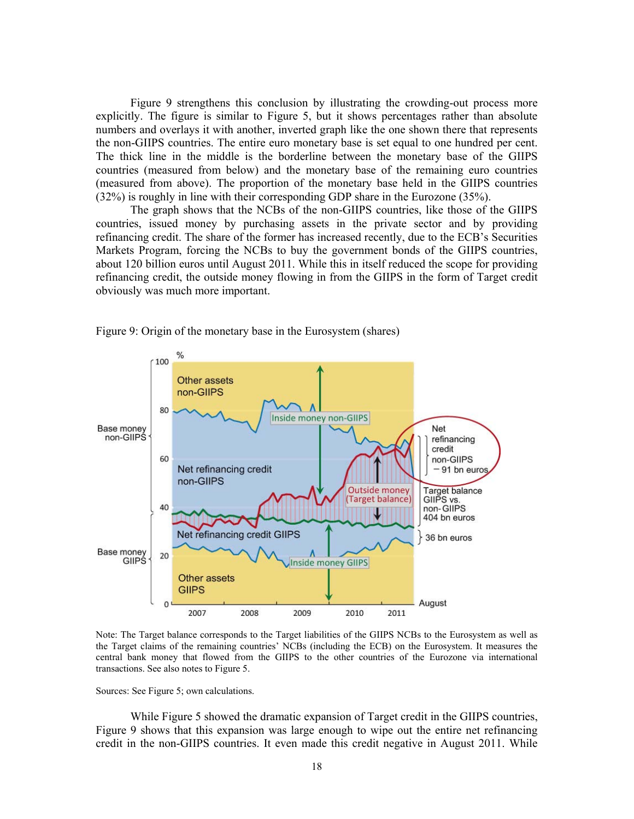Figure 9 strengthens this conclusion by illustrating the crowding-out process more explicitly. The figure is similar to Figure 5, but it shows percentages rather than absolute numbers and overlays it with another, inverted graph like the one shown there that represents the non-GIIPS countries. The entire euro monetary base is set equal to one hundred per cent. The thick line in the middle is the borderline between the monetary base of the GIIPS countries (measured from below) and the monetary base of the remaining euro countries (measured from above). The proportion of the monetary base held in the GIIPS countries (32%) is roughly in line with their corresponding GDP share in the Eurozone (35%).

 The graph shows that the NCBs of the non-GIIPS countries, like those of the GIIPS countries, issued money by purchasing assets in the private sector and by providing refinancing credit. The share of the former has increased recently, due to the ECB's Securities Markets Program, forcing the NCBs to buy the government bonds of the GIIPS countries, about 120 billion euros until August 2011. While this in itself reduced the scope for providing refinancing credit, the outside money flowing in from the GIIPS in the form of Target credit obviously was much more important.



Figure 9: Origin of the monetary base in the Eurosystem (shares)

Note: The Target balance corresponds to the Target liabilities of the GIIPS NCBs to the Eurosystem as well as the Target claims of the remaining countries' NCBs (including the ECB) on the Eurosystem. It measures the central bank money that flowed from the GIIPS to the other countries of the Eurozone via international transactions. See also notes to Figure 5.

Sources: See Figure 5; own calculations.

While Figure 5 showed the dramatic expansion of Target credit in the GIIPS countries, Figure 9 shows that this expansion was large enough to wipe out the entire net refinancing credit in the non-GIIPS countries. It even made this credit negative in August 2011. While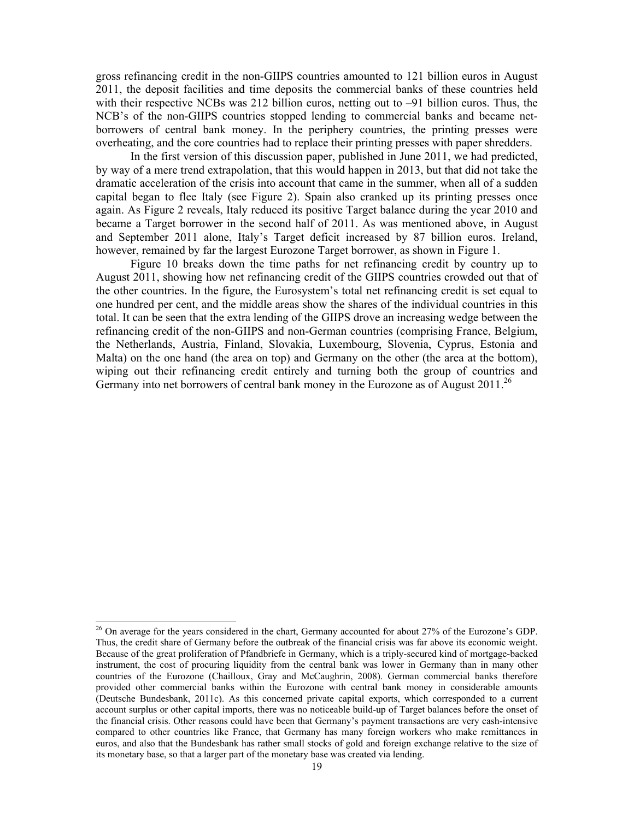gross refinancing credit in the non-GIIPS countries amounted to 121 billion euros in August 2011, the deposit facilities and time deposits the commercial banks of these countries held with their respective NCBs was 212 billion euros, netting out to  $-91$  billion euros. Thus, the NCB's of the non-GIIPS countries stopped lending to commercial banks and became netborrowers of central bank money. In the periphery countries, the printing presses were overheating, and the core countries had to replace their printing presses with paper shredders.

In the first version of this discussion paper, published in June 2011, we had predicted, by way of a mere trend extrapolation, that this would happen in 2013, but that did not take the dramatic acceleration of the crisis into account that came in the summer, when all of a sudden capital began to flee Italy (see Figure 2). Spain also cranked up its printing presses once again. As Figure 2 reveals, Italy reduced its positive Target balance during the year 2010 and became a Target borrower in the second half of 2011. As was mentioned above, in August and September 2011 alone, Italy's Target deficit increased by 87 billion euros. Ireland, however, remained by far the largest Eurozone Target borrower, as shown in Figure 1.

 Figure 10 breaks down the time paths for net refinancing credit by country up to August 2011, showing how net refinancing credit of the GIIPS countries crowded out that of the other countries. In the figure, the Eurosystem's total net refinancing credit is set equal to one hundred per cent, and the middle areas show the shares of the individual countries in this total. It can be seen that the extra lending of the GIIPS drove an increasing wedge between the refinancing credit of the non-GIIPS and non-German countries (comprising France, Belgium, the Netherlands, Austria, Finland, Slovakia, Luxembourg, Slovenia, Cyprus, Estonia and Malta) on the one hand (the area on top) and Germany on the other (the area at the bottom), wiping out their refinancing credit entirely and turning both the group of countries and Germany into net borrowers of central bank money in the Eurozone as of August 2011.<sup>26</sup>

<sup>&</sup>lt;sup>26</sup> On average for the years considered in the chart, Germany accounted for about 27% of the Eurozone's GDP. Thus, the credit share of Germany before the outbreak of the financial crisis was far above its economic weight. Because of the great proliferation of Pfandbriefe in Germany, which is a triply-secured kind of mortgage-backed instrument, the cost of procuring liquidity from the central bank was lower in Germany than in many other countries of the Eurozone (Chailloux, Gray and McCaughrin, 2008). German commercial banks therefore provided other commercial banks within the Eurozone with central bank money in considerable amounts (Deutsche Bundesbank, 2011c). As this concerned private capital exports, which corresponded to a current account surplus or other capital imports, there was no noticeable build-up of Target balances before the onset of the financial crisis. Other reasons could have been that Germany's payment transactions are very cash-intensive compared to other countries like France, that Germany has many foreign workers who make remittances in euros, and also that the Bundesbank has rather small stocks of gold and foreign exchange relative to the size of its monetary base, so that a larger part of the monetary base was created via lending.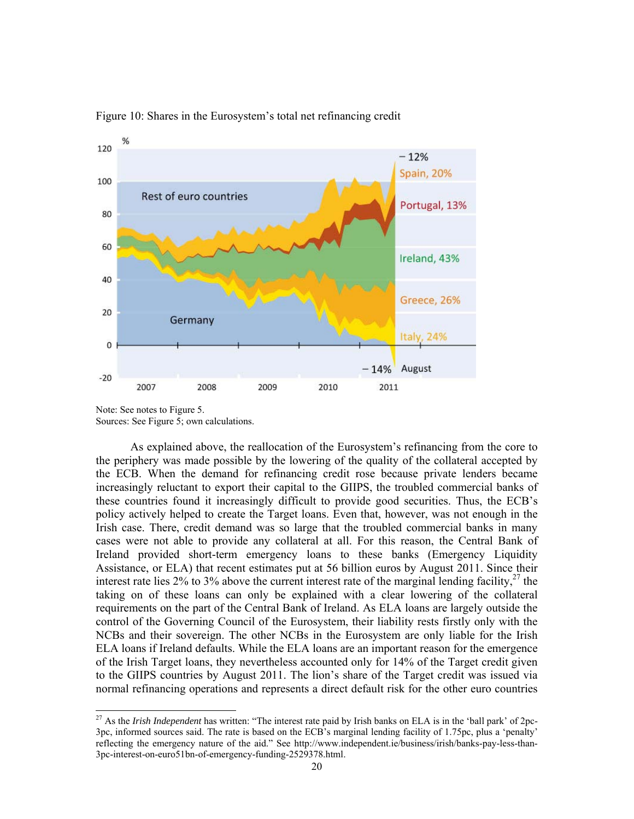

Figure 10: Shares in the Eurosystem's total net refinancing credit

 $\overline{a}$ 

As explained above, the reallocation of the Eurosystem's refinancing from the core to the periphery was made possible by the lowering of the quality of the collateral accepted by the ECB. When the demand for refinancing credit rose because private lenders became increasingly reluctant to export their capital to the GIIPS, the troubled commercial banks of these countries found it increasingly difficult to provide good securities. Thus, the ECB's policy actively helped to create the Target loans. Even that, however, was not enough in the Irish case. There, credit demand was so large that the troubled commercial banks in many cases were not able to provide any collateral at all. For this reason, the Central Bank of Ireland provided short-term emergency loans to these banks (Emergency Liquidity Assistance, or ELA) that recent estimates put at 56 billion euros by August 2011. Since their interest rate lies 2% to 3% above the current interest rate of the marginal lending facility,  $27$  the taking on of these loans can only be explained with a clear lowering of the collateral requirements on the part of the Central Bank of Ireland. As ELA loans are largely outside the control of the Governing Council of the Eurosystem, their liability rests firstly only with the NCBs and their sovereign. The other NCBs in the Eurosystem are only liable for the Irish ELA loans if Ireland defaults. While the ELA loans are an important reason for the emergence of the Irish Target loans, they nevertheless accounted only for 14% of the Target credit given to the GIIPS countries by August 2011. The lion's share of the Target credit was issued via normal refinancing operations and represents a direct default risk for the other euro countries

Note: See notes to Figure 5. Sources: See Figure 5; own calculations.

<sup>27</sup> As the *Irish Independent* has written: "The interest rate paid by Irish banks on ELA is in the 'ball park' of 2pc-3pc, informed sources said. The rate is based on the ECB's marginal lending facility of 1.75pc, plus a 'penalty' reflecting the emergency nature of the aid." See http://www.independent.ie/business/irish/banks-pay-less-than-3pc-interest-on-euro51bn-of-emergency-funding-2529378.html.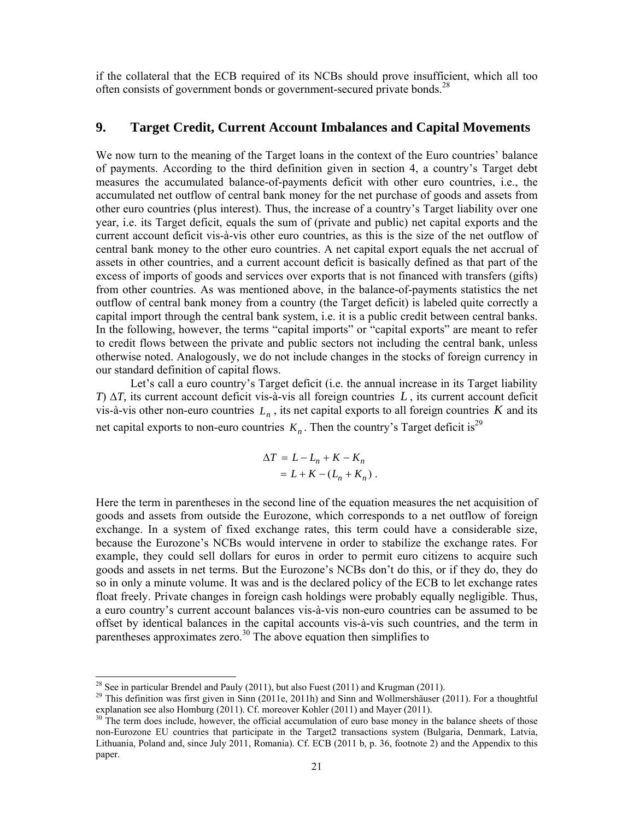if the collateral that the ECB required of its NCBs should prove insufficient, which all too often consists of government bonds or government-secured private bonds.<sup>28</sup>

## **9. Target Credit, Current Account Imbalances and Capital Movements**

We now turn to the meaning of the Target loans in the context of the Euro countries' balance of payments. According to the third definition given in section 4, a country's Target debt measures the accumulated balance-of-payments deficit with other euro countries, i.e., the accumulated net outflow of central bank money for the net purchase of goods and assets from other euro countries (plus interest). Thus, the increase of a country's Target liability over one year, i.e. its Target deficit, equals the sum of (private and public) net capital exports and the current account deficit vis-à-vis other euro countries, as this is the size of the net outflow of central bank money to the other euro countries. A net capital export equals the net accrual of assets in other countries, and a current account deficit is basically defined as that part of the excess of imports of goods and services over exports that is not financed with transfers (gifts) from other countries. As was mentioned above, in the balance-of-payments statistics the net outflow of central bank money from a country (the Target deficit) is labeled quite correctly a capital import through the central bank system, i.e. it is a public credit between central banks. In the following, however, the terms "capital imports" or "capital exports" are meant to refer to credit flows between the private and public sectors not including the central bank, unless otherwise noted. Analogously, we do not include changes in the stocks of foreign currency in our standard definition of capital flows.

Let's call a euro country's Target deficit (i.e. the annual increase in its Target liability *T*) ∆*T,* its current account deficit vis-à-vis all foreign countries *L* , its current account deficit vis-à-vis other non-euro countries  $L_n$ , its net capital exports to all foreign countries *K* and its net capital exports to non-euro countries  $K_n$ . Then the country's Target deficit is<sup>29</sup>

$$
\Delta T = L - L_n + K - K_n
$$
  
= L + K - (L\_n + K\_n).

Here the term in parentheses in the second line of the equation measures the net acquisition of goods and assets from outside the Eurozone, which corresponds to a net outflow of foreign exchange. In a system of fixed exchange rates, this term could have a considerable size, because the Eurozone's NCBs would intervene in order to stabilize the exchange rates. For example, they could sell dollars for euros in order to permit euro citizens to acquire such goods and assets in net terms. But the Eurozone's NCBs don't do this, or if they do, they do so in only a minute volume. It was and is the declared policy of the ECB to let exchange rates float freely. Private changes in foreign cash holdings were probably equally negligible. Thus, a euro country's current account balances vis-à-vis non-euro countries can be assumed to be offset by identical balances in the capital accounts vis-à-vis such countries, and the term in parentheses approximates zero.<sup>30</sup> The above equation then simplifies to

l

<sup>&</sup>lt;sup>28</sup> See in particular Brendel and Pauly (2011), but also Fuest (2011) and Krugman (2011).

<sup>&</sup>lt;sup>29</sup> This definition was first given in Sinn (2011e, 2011h) and Sinn and Wollmershäuser (2011). For a thoughtful explanation see also Homburg (2011). Cf. moreover Kohler (2011) and Mayer (2011).

<sup>&</sup>lt;sup>30</sup> The term does include, however, the official accumulation of euro base money in the balance sheets of those non-Eurozone EU countries that participate in the Target2 transactions system (Bulgaria, Denmark, Latvia, Lithuania, Poland and, since July 2011, Romania). Cf. ECB (2011 b, p. 36, footnote 2) and the Appendix to this paper.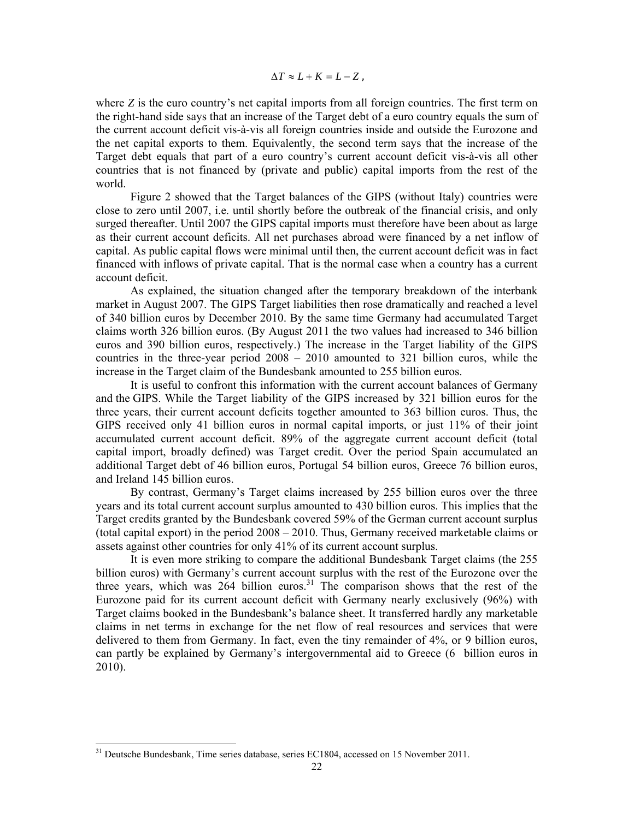$$
\Delta T \approx L+K=L-Z\;,
$$

where *Z* is the euro country's net capital imports from all foreign countries. The first term on the right-hand side says that an increase of the Target debt of a euro country equals the sum of the current account deficit vis-à-vis all foreign countries inside and outside the Eurozone and the net capital exports to them. Equivalently, the second term says that the increase of the Target debt equals that part of a euro country's current account deficit vis-à-vis all other countries that is not financed by (private and public) capital imports from the rest of the world.

 Figure 2 showed that the Target balances of the GIPS (without Italy) countries were close to zero until 2007, i.e. until shortly before the outbreak of the financial crisis, and only surged thereafter. Until 2007 the GIPS capital imports must therefore have been about as large as their current account deficits. All net purchases abroad were financed by a net inflow of capital. As public capital flows were minimal until then, the current account deficit was in fact financed with inflows of private capital. That is the normal case when a country has a current account deficit.

 As explained, the situation changed after the temporary breakdown of the interbank market in August 2007. The GIPS Target liabilities then rose dramatically and reached a level of 340 billion euros by December 2010. By the same time Germany had accumulated Target claims worth 326 billion euros. (By August 2011 the two values had increased to 346 billion euros and 390 billion euros, respectively.) The increase in the Target liability of the GIPS countries in the three-year period 2008 – 2010 amounted to 321 billion euros, while the increase in the Target claim of the Bundesbank amounted to 255 billion euros.

It is useful to confront this information with the current account balances of Germany and the GIPS. While the Target liability of the GIPS increased by 321 billion euros for the three years, their current account deficits together amounted to 363 billion euros. Thus, the GIPS received only 41 billion euros in normal capital imports, or just 11% of their joint accumulated current account deficit. 89% of the aggregate current account deficit (total capital import, broadly defined) was Target credit. Over the period Spain accumulated an additional Target debt of 46 billion euros, Portugal 54 billion euros, Greece 76 billion euros, and Ireland 145 billion euros.

 By contrast, Germany's Target claims increased by 255 billion euros over the three years and its total current account surplus amounted to 430 billion euros. This implies that the Target credits granted by the Bundesbank covered 59% of the German current account surplus (total capital export) in the period 2008 – 2010. Thus, Germany received marketable claims or assets against other countries for only 41% of its current account surplus.

 It is even more striking to compare the additional Bundesbank Target claims (the 255 billion euros) with Germany's current account surplus with the rest of the Eurozone over the three years, which was  $264$  billion euros.<sup>31</sup> The comparison shows that the rest of the Eurozone paid for its current account deficit with Germany nearly exclusively (96%) with Target claims booked in the Bundesbank's balance sheet. It transferred hardly any marketable claims in net terms in exchange for the net flow of real resources and services that were delivered to them from Germany. In fact, even the tiny remainder of 4%, or 9 billion euros, can partly be explained by Germany's intergovernmental aid to Greece (6 billion euros in 2010).

l <sup>31</sup> Deutsche Bundesbank, Time series database, series EC1804, accessed on 15 November 2011.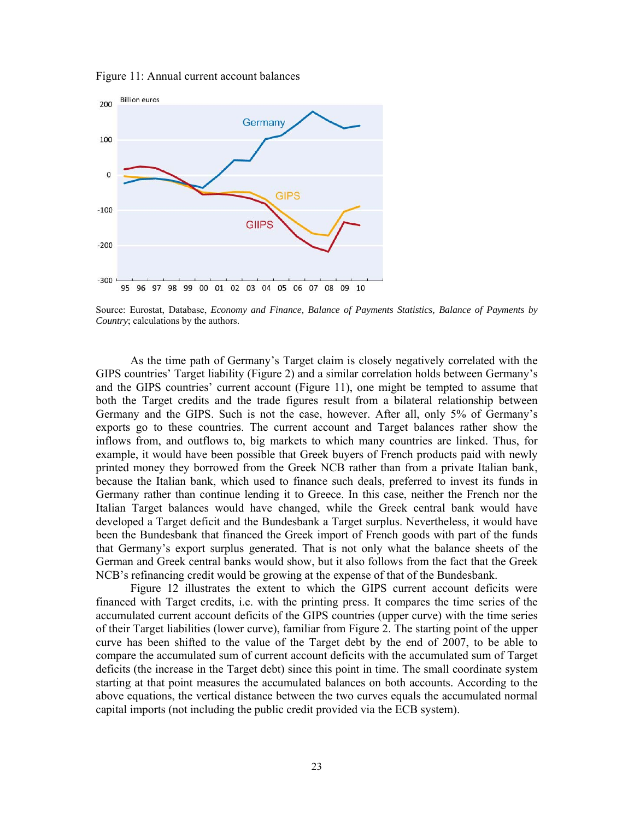Figure 11: Annual current account balances



Source: Eurostat, Database, *Economy and Finance, Balance of Payments Statistics, Balance of Payments by Country*; calculations by the authors.

 As the time path of Germany's Target claim is closely negatively correlated with the GIPS countries' Target liability (Figure 2) and a similar correlation holds between Germany's and the GIPS countries' current account (Figure 11), one might be tempted to assume that both the Target credits and the trade figures result from a bilateral relationship between Germany and the GIPS. Such is not the case, however. After all, only 5% of Germany's exports go to these countries. The current account and Target balances rather show the inflows from, and outflows to, big markets to which many countries are linked. Thus, for example, it would have been possible that Greek buyers of French products paid with newly printed money they borrowed from the Greek NCB rather than from a private Italian bank, because the Italian bank, which used to finance such deals, preferred to invest its funds in Germany rather than continue lending it to Greece. In this case, neither the French nor the Italian Target balances would have changed, while the Greek central bank would have developed a Target deficit and the Bundesbank a Target surplus. Nevertheless, it would have been the Bundesbank that financed the Greek import of French goods with part of the funds that Germany's export surplus generated. That is not only what the balance sheets of the German and Greek central banks would show, but it also follows from the fact that the Greek NCB's refinancing credit would be growing at the expense of that of the Bundesbank.

 Figure 12 illustrates the extent to which the GIPS current account deficits were financed with Target credits, i.e. with the printing press. It compares the time series of the accumulated current account deficits of the GIPS countries (upper curve) with the time series of their Target liabilities (lower curve), familiar from Figure 2. The starting point of the upper curve has been shifted to the value of the Target debt by the end of 2007, to be able to compare the accumulated sum of current account deficits with the accumulated sum of Target deficits (the increase in the Target debt) since this point in time. The small coordinate system starting at that point measures the accumulated balances on both accounts. According to the above equations, the vertical distance between the two curves equals the accumulated normal capital imports (not including the public credit provided via the ECB system).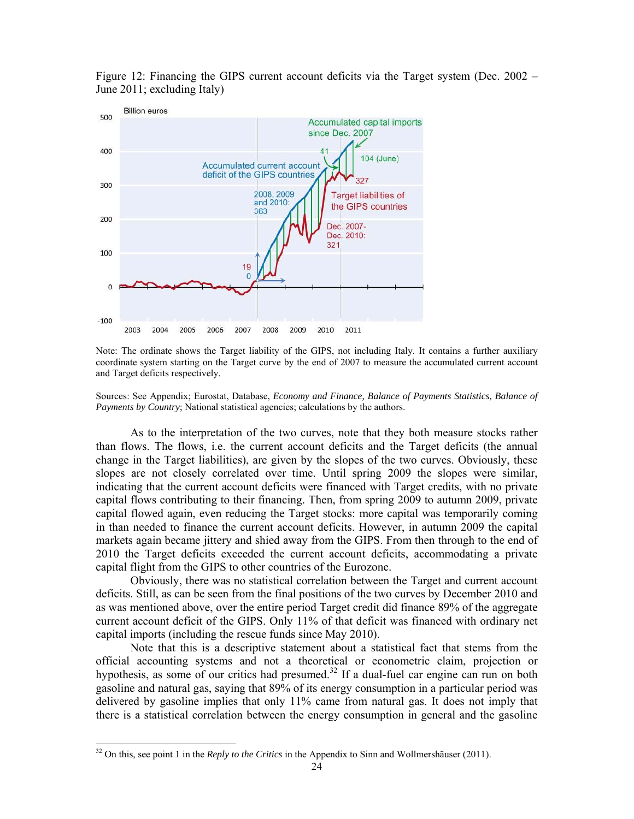

Figure 12: Financing the GIPS current account deficits via the Target system (Dec. 2002 – June 2011; excluding Italy)

Note: The ordinate shows the Target liability of the GIPS, not including Italy. It contains a further auxiliary coordinate system starting on the Target curve by the end of 2007 to measure the accumulated current account and Target deficits respectively.

Sources: See Appendix; Eurostat, Database, *Economy and Finance, Balance of Payments Statistics, Balance of Payments by Country*; National statistical agencies; calculations by the authors.

As to the interpretation of the two curves, note that they both measure stocks rather than flows. The flows, i.e. the current account deficits and the Target deficits (the annual change in the Target liabilities), are given by the slopes of the two curves. Obviously, these slopes are not closely correlated over time. Until spring 2009 the slopes were similar, indicating that the current account deficits were financed with Target credits, with no private capital flows contributing to their financing. Then, from spring 2009 to autumn 2009, private capital flowed again, even reducing the Target stocks: more capital was temporarily coming in than needed to finance the current account deficits. However, in autumn 2009 the capital markets again became jittery and shied away from the GIPS. From then through to the end of 2010 the Target deficits exceeded the current account deficits, accommodating a private capital flight from the GIPS to other countries of the Eurozone.

 Obviously, there was no statistical correlation between the Target and current account deficits. Still, as can be seen from the final positions of the two curves by December 2010 and as was mentioned above, over the entire period Target credit did finance 89% of the aggregate current account deficit of the GIPS. Only 11% of that deficit was financed with ordinary net capital imports (including the rescue funds since May 2010).

 Note that this is a descriptive statement about a statistical fact that stems from the official accounting systems and not a theoretical or econometric claim, projection or hypothesis, as some of our critics had presumed.<sup>32</sup> If a dual-fuel car engine can run on both gasoline and natural gas, saying that 89% of its energy consumption in a particular period was delivered by gasoline implies that only 11% came from natural gas. It does not imply that there is a statistical correlation between the energy consumption in general and the gasoline

l

<sup>32</sup> On this, see point 1 in the *Reply to the Critics* in the Appendix to Sinn and Wollmershäuser (2011).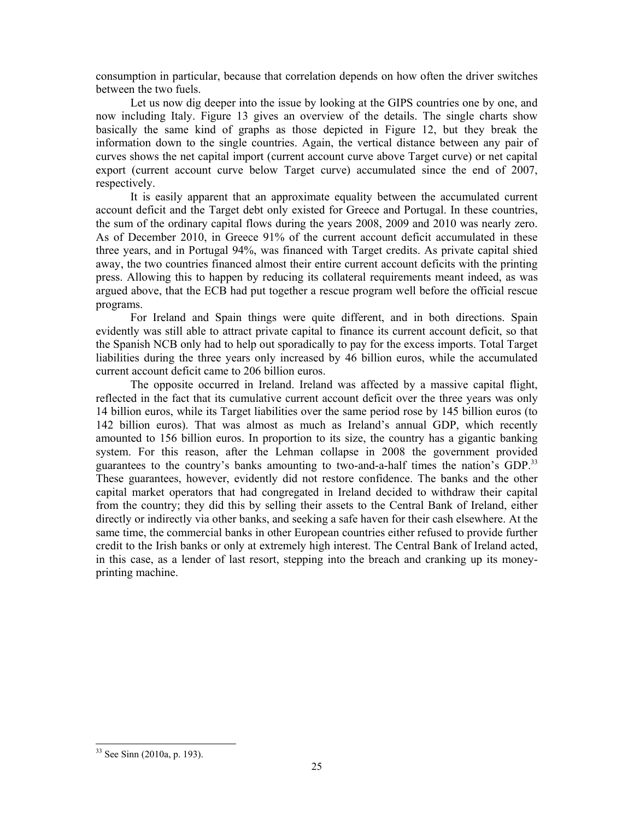consumption in particular, because that correlation depends on how often the driver switches between the two fuels.

 Let us now dig deeper into the issue by looking at the GIPS countries one by one, and now including Italy. Figure 13 gives an overview of the details. The single charts show basically the same kind of graphs as those depicted in Figure 12, but they break the information down to the single countries. Again, the vertical distance between any pair of curves shows the net capital import (current account curve above Target curve) or net capital export (current account curve below Target curve) accumulated since the end of 2007, respectively.

 It is easily apparent that an approximate equality between the accumulated current account deficit and the Target debt only existed for Greece and Portugal. In these countries, the sum of the ordinary capital flows during the years 2008, 2009 and 2010 was nearly zero. As of December 2010, in Greece 91% of the current account deficit accumulated in these three years, and in Portugal 94%, was financed with Target credits. As private capital shied away, the two countries financed almost their entire current account deficits with the printing press. Allowing this to happen by reducing its collateral requirements meant indeed, as was argued above, that the ECB had put together a rescue program well before the official rescue programs.

For Ireland and Spain things were quite different, and in both directions. Spain evidently was still able to attract private capital to finance its current account deficit, so that the Spanish NCB only had to help out sporadically to pay for the excess imports. Total Target liabilities during the three years only increased by 46 billion euros, while the accumulated current account deficit came to 206 billion euros.

 The opposite occurred in Ireland. Ireland was affected by a massive capital flight, reflected in the fact that its cumulative current account deficit over the three years was only 14 billion euros, while its Target liabilities over the same period rose by 145 billion euros (to 142 billion euros). That was almost as much as Ireland's annual GDP, which recently amounted to 156 billion euros. In proportion to its size, the country has a gigantic banking system. For this reason, after the Lehman collapse in 2008 the government provided guarantees to the country's banks amounting to two-and-a-half times the nation's GDP.<sup>33</sup> These guarantees, however, evidently did not restore confidence. The banks and the other capital market operators that had congregated in Ireland decided to withdraw their capital from the country; they did this by selling their assets to the Central Bank of Ireland, either directly or indirectly via other banks, and seeking a safe haven for their cash elsewhere. At the same time, the commercial banks in other European countries either refused to provide further credit to the Irish banks or only at extremely high interest. The Central Bank of Ireland acted, in this case, as a lender of last resort, stepping into the breach and cranking up its moneyprinting machine.

l

<sup>33</sup> See Sinn (2010a, p. 193).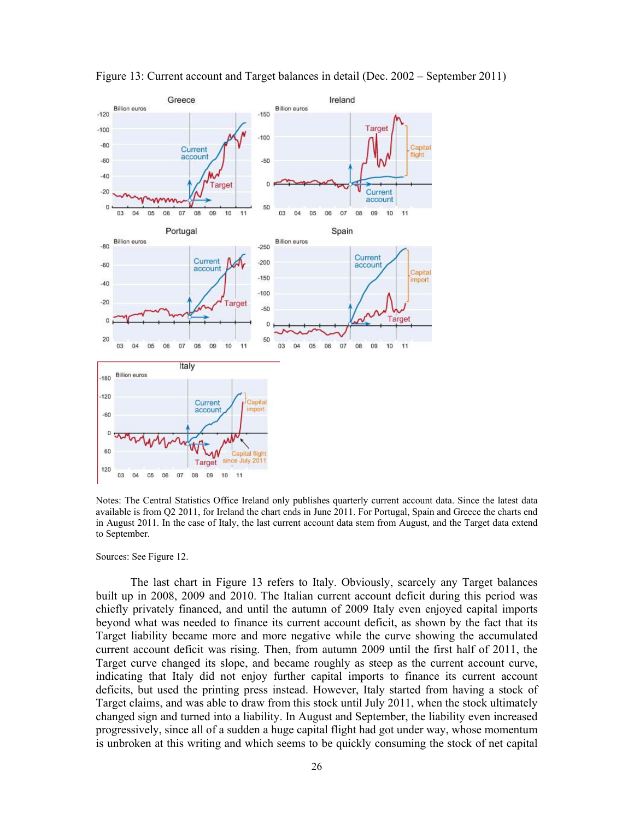

Figure 13: Current account and Target balances in detail (Dec. 2002 – September 2011)

Notes: The Central Statistics Office Ireland only publishes quarterly current account data. Since the latest data available is from Q2 2011, for Ireland the chart ends in June 2011. For Portugal, Spain and Greece the charts end in August 2011. In the case of Italy, the last current account data stem from August, and the Target data extend to September.

Sources: See Figure 12.

The last chart in Figure 13 refers to Italy. Obviously, scarcely any Target balances built up in 2008, 2009 and 2010. The Italian current account deficit during this period was chiefly privately financed, and until the autumn of 2009 Italy even enjoyed capital imports beyond what was needed to finance its current account deficit, as shown by the fact that its Target liability became more and more negative while the curve showing the accumulated current account deficit was rising. Then, from autumn 2009 until the first half of 2011, the Target curve changed its slope, and became roughly as steep as the current account curve, indicating that Italy did not enjoy further capital imports to finance its current account deficits, but used the printing press instead. However, Italy started from having a stock of Target claims, and was able to draw from this stock until July 2011, when the stock ultimately changed sign and turned into a liability. In August and September, the liability even increased progressively, since all of a sudden a huge capital flight had got under way, whose momentum is unbroken at this writing and which seems to be quickly consuming the stock of net capital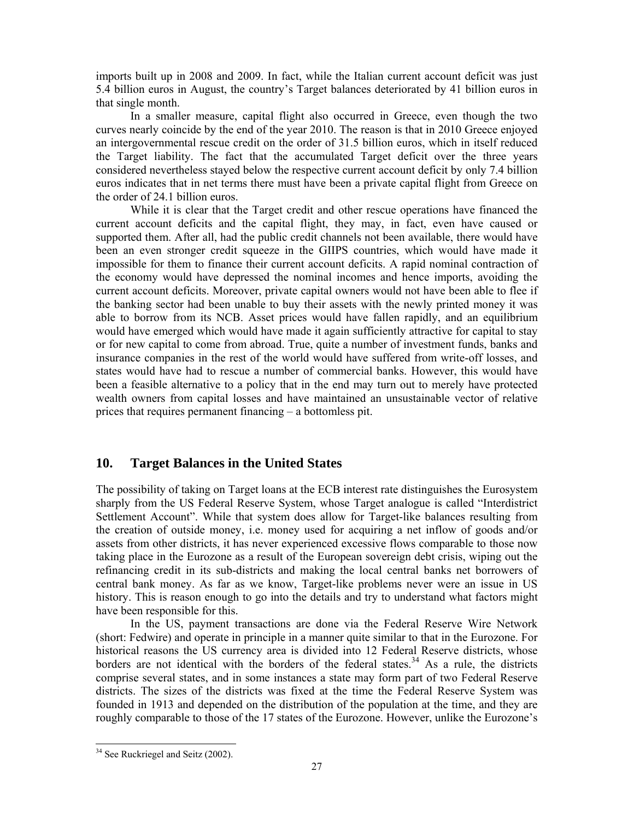imports built up in 2008 and 2009. In fact, while the Italian current account deficit was just 5.4 billion euros in August, the country's Target balances deteriorated by 41 billion euros in that single month.

 In a smaller measure, capital flight also occurred in Greece, even though the two curves nearly coincide by the end of the year 2010. The reason is that in 2010 Greece enjoyed an intergovernmental rescue credit on the order of 31.5 billion euros, which in itself reduced the Target liability. The fact that the accumulated Target deficit over the three years considered nevertheless stayed below the respective current account deficit by only 7.4 billion euros indicates that in net terms there must have been a private capital flight from Greece on the order of 24.1 billion euros.

 While it is clear that the Target credit and other rescue operations have financed the current account deficits and the capital flight, they may, in fact, even have caused or supported them. After all, had the public credit channels not been available, there would have been an even stronger credit squeeze in the GIIPS countries, which would have made it impossible for them to finance their current account deficits. A rapid nominal contraction of the economy would have depressed the nominal incomes and hence imports, avoiding the current account deficits. Moreover, private capital owners would not have been able to flee if the banking sector had been unable to buy their assets with the newly printed money it was able to borrow from its NCB. Asset prices would have fallen rapidly, and an equilibrium would have emerged which would have made it again sufficiently attractive for capital to stay or for new capital to come from abroad. True, quite a number of investment funds, banks and insurance companies in the rest of the world would have suffered from write-off losses, and states would have had to rescue a number of commercial banks. However, this would have been a feasible alternative to a policy that in the end may turn out to merely have protected wealth owners from capital losses and have maintained an unsustainable vector of relative prices that requires permanent financing – a bottomless pit.

# **10. Target Balances in the United States**

The possibility of taking on Target loans at the ECB interest rate distinguishes the Eurosystem sharply from the US Federal Reserve System, whose Target analogue is called "Interdistrict Settlement Account". While that system does allow for Target-like balances resulting from the creation of outside money, i.e. money used for acquiring a net inflow of goods and/or assets from other districts, it has never experienced excessive flows comparable to those now taking place in the Eurozone as a result of the European sovereign debt crisis, wiping out the refinancing credit in its sub-districts and making the local central banks net borrowers of central bank money. As far as we know, Target-like problems never were an issue in US history. This is reason enough to go into the details and try to understand what factors might have been responsible for this.

 In the US, payment transactions are done via the Federal Reserve Wire Network (short: Fedwire) and operate in principle in a manner quite similar to that in the Eurozone. For historical reasons the US currency area is divided into 12 Federal Reserve districts, whose borders are not identical with the borders of the federal states.<sup>34</sup> As a rule, the districts comprise several states, and in some instances a state may form part of two Federal Reserve districts. The sizes of the districts was fixed at the time the Federal Reserve System was founded in 1913 and depended on the distribution of the population at the time, and they are roughly comparable to those of the 17 states of the Eurozone. However, unlike the Eurozone's

l <sup>34</sup> See Ruckriegel and Seitz (2002).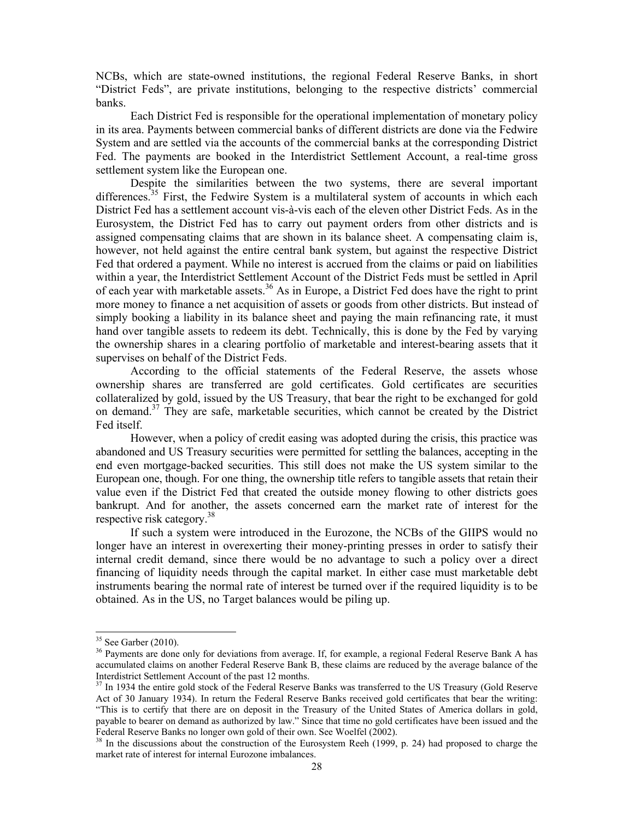NCBs, which are state-owned institutions, the regional Federal Reserve Banks, in short "District Feds", are private institutions, belonging to the respective districts' commercial banks.

 Each District Fed is responsible for the operational implementation of monetary policy in its area. Payments between commercial banks of different districts are done via the Fedwire System and are settled via the accounts of the commercial banks at the corresponding District Fed. The payments are booked in the Interdistrict Settlement Account, a real-time gross settlement system like the European one.

 Despite the similarities between the two systems, there are several important differences.<sup>35</sup> First, the Fedwire System is a multilateral system of accounts in which each District Fed has a settlement account vis-à-vis each of the eleven other District Feds. As in the Eurosystem, the District Fed has to carry out payment orders from other districts and is assigned compensating claims that are shown in its balance sheet. A compensating claim is, however, not held against the entire central bank system, but against the respective District Fed that ordered a payment. While no interest is accrued from the claims or paid on liabilities within a year, the Interdistrict Settlement Account of the District Feds must be settled in April of each year with marketable assets.<sup>36</sup> As in Europe, a District Fed does have the right to print more money to finance a net acquisition of assets or goods from other districts. But instead of simply booking a liability in its balance sheet and paying the main refinancing rate, it must hand over tangible assets to redeem its debt. Technically, this is done by the Fed by varying the ownership shares in a clearing portfolio of marketable and interest-bearing assets that it supervises on behalf of the District Feds.

 According to the official statements of the Federal Reserve, the assets whose ownership shares are transferred are gold certificates. Gold certificates are securities collateralized by gold, issued by the US Treasury, that bear the right to be exchanged for gold on demand.<sup>37</sup> They are safe, marketable securities, which cannot be created by the District Fed itself.

 However, when a policy of credit easing was adopted during the crisis, this practice was abandoned and US Treasury securities were permitted for settling the balances, accepting in the end even mortgage-backed securities. This still does not make the US system similar to the European one, though. For one thing, the ownership title refers to tangible assets that retain their value even if the District Fed that created the outside money flowing to other districts goes bankrupt. And for another, the assets concerned earn the market rate of interest for the respective risk category.38

 If such a system were introduced in the Eurozone, the NCBs of the GIIPS would no longer have an interest in overexerting their money-printing presses in order to satisfy their internal credit demand, since there would be no advantage to such a policy over a direct financing of liquidity needs through the capital market. In either case must marketable debt instruments bearing the normal rate of interest be turned over if the required liquidity is to be obtained. As in the US, no Target balances would be piling up.

 $35$  See Garber (2010).

<sup>&</sup>lt;sup>36</sup> Payments are done only for deviations from average. If, for example, a regional Federal Reserve Bank A has accumulated claims on another Federal Reserve Bank B, these claims are reduced by the average balance of the Interdistrict Settlement Account of the past 12 months.

<sup>&</sup>lt;sup>37</sup> In 1934 the entire gold stock of the Federal Reserve Banks was transferred to the US Treasury (Gold Reserve Act of 30 January 1934). In return the Federal Reserve Banks received gold certificates that bear the writing: "This is to certify that there are on deposit in the Treasury of the United States of America dollars in gold, payable to bearer on demand as authorized by law." Since that time no gold certificates have been issued and the Federal Reserve Banks no longer own gold of their own. See Woelfel (2002).

<sup>&</sup>lt;sup>38</sup> In the discussions about the construction of the Eurosystem Reeh (1999, p. 24) had proposed to charge the market rate of interest for internal Eurozone imbalances.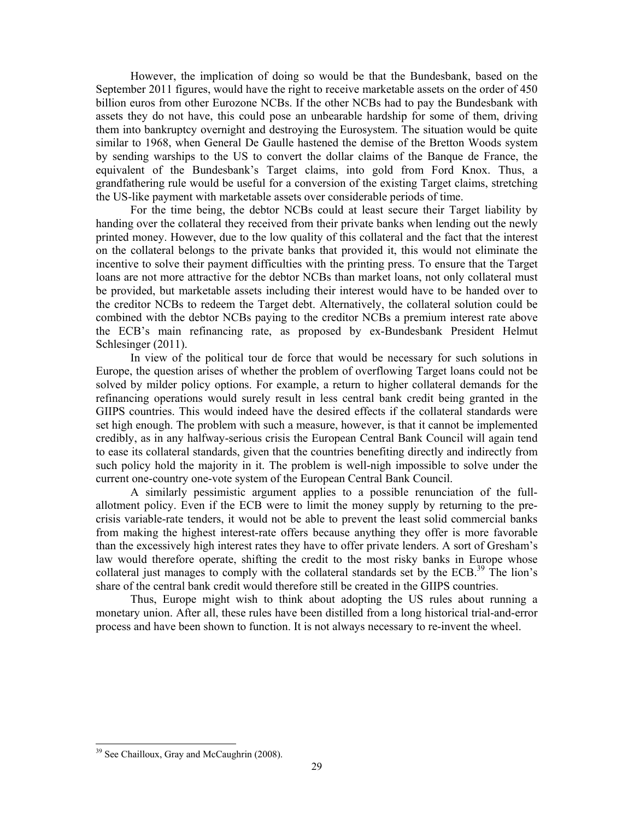However, the implication of doing so would be that the Bundesbank, based on the September 2011 figures, would have the right to receive marketable assets on the order of 450 billion euros from other Eurozone NCBs. If the other NCBs had to pay the Bundesbank with assets they do not have, this could pose an unbearable hardship for some of them, driving them into bankruptcy overnight and destroying the Eurosystem. The situation would be quite similar to 1968, when General De Gaulle hastened the demise of the Bretton Woods system by sending warships to the US to convert the dollar claims of the Banque de France, the equivalent of the Bundesbank's Target claims, into gold from Ford Knox. Thus, a grandfathering rule would be useful for a conversion of the existing Target claims, stretching the US-like payment with marketable assets over considerable periods of time.

 For the time being, the debtor NCBs could at least secure their Target liability by handing over the collateral they received from their private banks when lending out the newly printed money. However, due to the low quality of this collateral and the fact that the interest on the collateral belongs to the private banks that provided it, this would not eliminate the incentive to solve their payment difficulties with the printing press. To ensure that the Target loans are not more attractive for the debtor NCBs than market loans, not only collateral must be provided, but marketable assets including their interest would have to be handed over to the creditor NCBs to redeem the Target debt. Alternatively, the collateral solution could be combined with the debtor NCBs paying to the creditor NCBs a premium interest rate above the ECB's main refinancing rate, as proposed by ex-Bundesbank President Helmut Schlesinger (2011).

 In view of the political tour de force that would be necessary for such solutions in Europe, the question arises of whether the problem of overflowing Target loans could not be solved by milder policy options. For example, a return to higher collateral demands for the refinancing operations would surely result in less central bank credit being granted in the GIIPS countries. This would indeed have the desired effects if the collateral standards were set high enough. The problem with such a measure, however, is that it cannot be implemented credibly, as in any halfway-serious crisis the European Central Bank Council will again tend to ease its collateral standards, given that the countries benefiting directly and indirectly from such policy hold the majority in it. The problem is well-nigh impossible to solve under the current one-country one-vote system of the European Central Bank Council.

 A similarly pessimistic argument applies to a possible renunciation of the fullallotment policy. Even if the ECB were to limit the money supply by returning to the precrisis variable-rate tenders, it would not be able to prevent the least solid commercial banks from making the highest interest-rate offers because anything they offer is more favorable than the excessively high interest rates they have to offer private lenders. A sort of Gresham's law would therefore operate, shifting the credit to the most risky banks in Europe whose collateral just manages to comply with the collateral standards set by the ECB.<sup>39</sup> The lion's share of the central bank credit would therefore still be created in the GIIPS countries.

 Thus, Europe might wish to think about adopting the US rules about running a monetary union. After all, these rules have been distilled from a long historical trial-and-error process and have been shown to function. It is not always necessary to re-invent the wheel.

<sup>&</sup>lt;sup>39</sup> See Chailloux, Gray and McCaughrin (2008).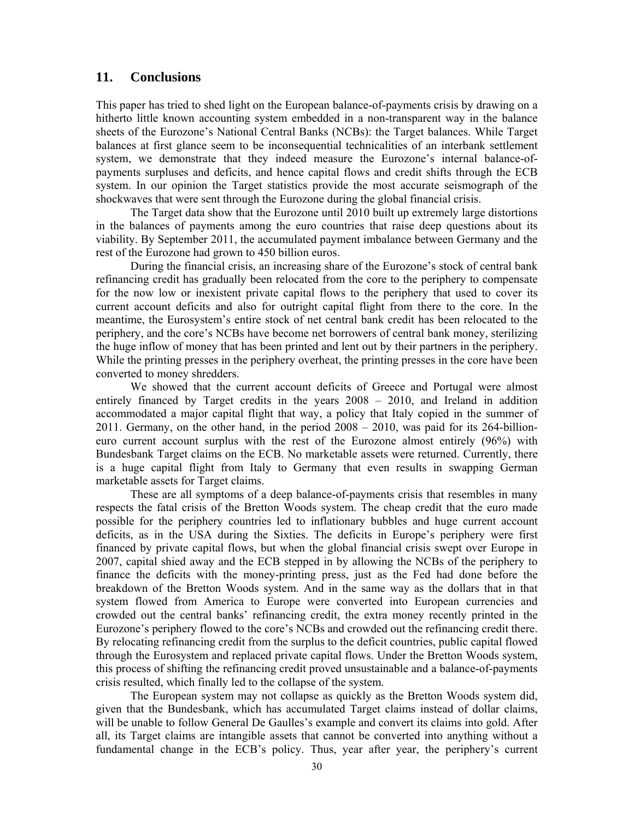#### **11. Conclusions**

This paper has tried to shed light on the European balance-of-payments crisis by drawing on a hitherto little known accounting system embedded in a non-transparent way in the balance sheets of the Eurozone's National Central Banks (NCBs): the Target balances. While Target balances at first glance seem to be inconsequential technicalities of an interbank settlement system, we demonstrate that they indeed measure the Eurozone's internal balance-ofpayments surpluses and deficits, and hence capital flows and credit shifts through the ECB system. In our opinion the Target statistics provide the most accurate seismograph of the shockwaves that were sent through the Eurozone during the global financial crisis.

 The Target data show that the Eurozone until 2010 built up extremely large distortions in the balances of payments among the euro countries that raise deep questions about its viability. By September 2011, the accumulated payment imbalance between Germany and the rest of the Eurozone had grown to 450 billion euros.

 During the financial crisis, an increasing share of the Eurozone's stock of central bank refinancing credit has gradually been relocated from the core to the periphery to compensate for the now low or inexistent private capital flows to the periphery that used to cover its current account deficits and also for outright capital flight from there to the core. In the meantime, the Eurosystem's entire stock of net central bank credit has been relocated to the periphery, and the core's NCBs have become net borrowers of central bank money, sterilizing the huge inflow of money that has been printed and lent out by their partners in the periphery. While the printing presses in the periphery overheat, the printing presses in the core have been converted to money shredders.

 We showed that the current account deficits of Greece and Portugal were almost entirely financed by Target credits in the years 2008 – 2010, and Ireland in addition accommodated a major capital flight that way, a policy that Italy copied in the summer of 2011. Germany, on the other hand, in the period 2008 – 2010, was paid for its 264-billioneuro current account surplus with the rest of the Eurozone almost entirely (96%) with Bundesbank Target claims on the ECB. No marketable assets were returned. Currently, there is a huge capital flight from Italy to Germany that even results in swapping German marketable assets for Target claims.

 These are all symptoms of a deep balance-of-payments crisis that resembles in many respects the fatal crisis of the Bretton Woods system. The cheap credit that the euro made possible for the periphery countries led to inflationary bubbles and huge current account deficits, as in the USA during the Sixties. The deficits in Europe's periphery were first financed by private capital flows, but when the global financial crisis swept over Europe in 2007, capital shied away and the ECB stepped in by allowing the NCBs of the periphery to finance the deficits with the money-printing press, just as the Fed had done before the breakdown of the Bretton Woods system. And in the same way as the dollars that in that system flowed from America to Europe were converted into European currencies and crowded out the central banks' refinancing credit, the extra money recently printed in the Eurozone's periphery flowed to the core's NCBs and crowded out the refinancing credit there. By relocating refinancing credit from the surplus to the deficit countries, public capital flowed through the Eurosystem and replaced private capital flows. Under the Bretton Woods system, this process of shifting the refinancing credit proved unsustainable and a balance-of-payments crisis resulted, which finally led to the collapse of the system.

 The European system may not collapse as quickly as the Bretton Woods system did, given that the Bundesbank, which has accumulated Target claims instead of dollar claims, will be unable to follow General De Gaulles's example and convert its claims into gold. After all, its Target claims are intangible assets that cannot be converted into anything without a fundamental change in the ECB's policy. Thus, year after year, the periphery's current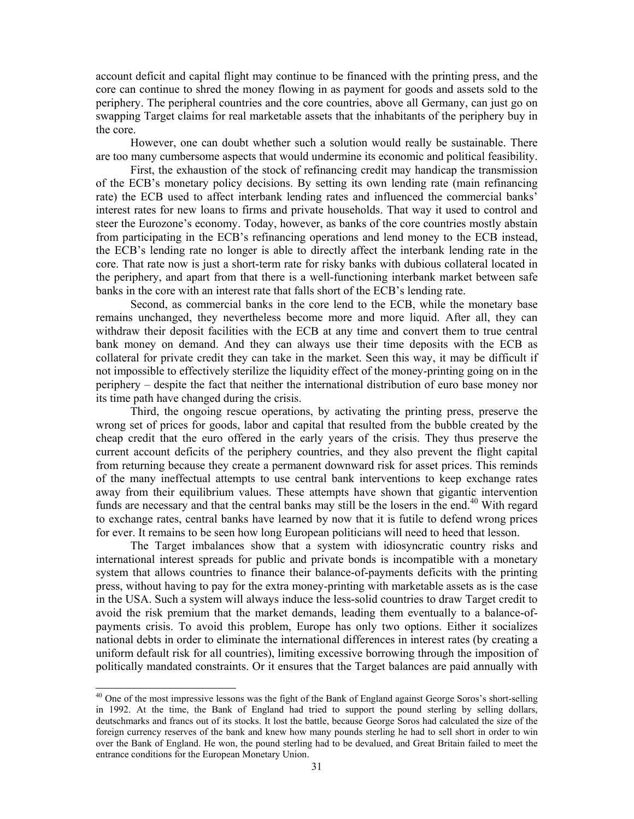account deficit and capital flight may continue to be financed with the printing press, and the core can continue to shred the money flowing in as payment for goods and assets sold to the periphery. The peripheral countries and the core countries, above all Germany, can just go on swapping Target claims for real marketable assets that the inhabitants of the periphery buy in the core.

 However, one can doubt whether such a solution would really be sustainable. There are too many cumbersome aspects that would undermine its economic and political feasibility.

 First, the exhaustion of the stock of refinancing credit may handicap the transmission of the ECB's monetary policy decisions. By setting its own lending rate (main refinancing rate) the ECB used to affect interbank lending rates and influenced the commercial banks' interest rates for new loans to firms and private households. That way it used to control and steer the Eurozone's economy. Today, however, as banks of the core countries mostly abstain from participating in the ECB's refinancing operations and lend money to the ECB instead, the ECB's lending rate no longer is able to directly affect the interbank lending rate in the core. That rate now is just a short-term rate for risky banks with dubious collateral located in the periphery, and apart from that there is a well-functioning interbank market between safe banks in the core with an interest rate that falls short of the ECB's lending rate.

 Second, as commercial banks in the core lend to the ECB, while the monetary base remains unchanged, they nevertheless become more and more liquid. After all, they can withdraw their deposit facilities with the ECB at any time and convert them to true central bank money on demand. And they can always use their time deposits with the ECB as collateral for private credit they can take in the market. Seen this way, it may be difficult if not impossible to effectively sterilize the liquidity effect of the money-printing going on in the periphery – despite the fact that neither the international distribution of euro base money nor its time path have changed during the crisis.

 Third, the ongoing rescue operations, by activating the printing press, preserve the wrong set of prices for goods, labor and capital that resulted from the bubble created by the cheap credit that the euro offered in the early years of the crisis. They thus preserve the current account deficits of the periphery countries, and they also prevent the flight capital from returning because they create a permanent downward risk for asset prices. This reminds of the many ineffectual attempts to use central bank interventions to keep exchange rates away from their equilibrium values. These attempts have shown that gigantic intervention funds are necessary and that the central banks may still be the losers in the end.<sup>40</sup> With regard to exchange rates, central banks have learned by now that it is futile to defend wrong prices for ever. It remains to be seen how long European politicians will need to heed that lesson.

 The Target imbalances show that a system with idiosyncratic country risks and international interest spreads for public and private bonds is incompatible with a monetary system that allows countries to finance their balance-of-payments deficits with the printing press, without having to pay for the extra money-printing with marketable assets as is the case in the USA. Such a system will always induce the less-solid countries to draw Target credit to avoid the risk premium that the market demands, leading them eventually to a balance-ofpayments crisis. To avoid this problem, Europe has only two options. Either it socializes national debts in order to eliminate the international differences in interest rates (by creating a uniform default risk for all countries), limiting excessive borrowing through the imposition of politically mandated constraints. Or it ensures that the Target balances are paid annually with

<sup>&</sup>lt;sup>40</sup> One of the most impressive lessons was the fight of the Bank of England against George Soros's short-selling in 1992. At the time, the Bank of England had tried to support the pound sterling by selling dollars, deutschmarks and francs out of its stocks. It lost the battle, because George Soros had calculated the size of the foreign currency reserves of the bank and knew how many pounds sterling he had to sell short in order to win over the Bank of England. He won, the pound sterling had to be devalued, and Great Britain failed to meet the entrance conditions for the European Monetary Union.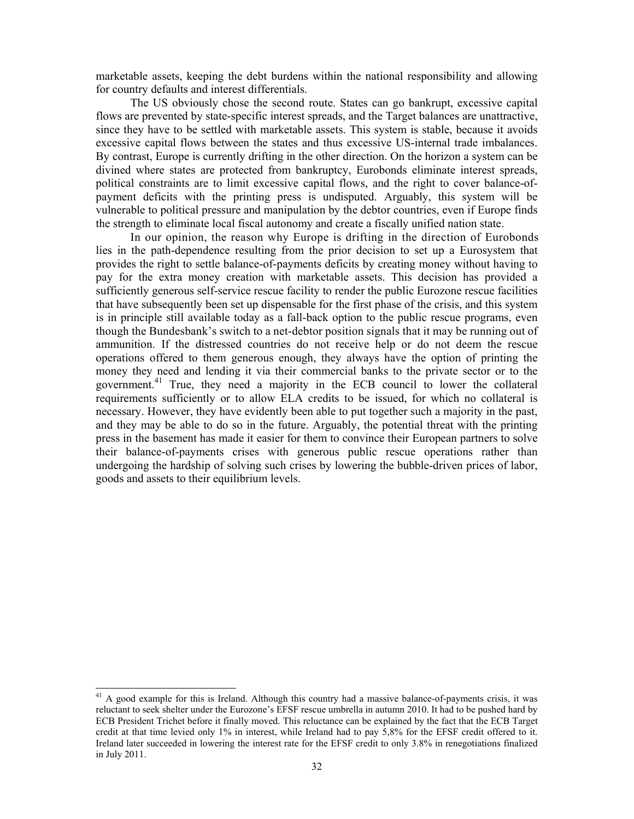marketable assets, keeping the debt burdens within the national responsibility and allowing for country defaults and interest differentials.

 The US obviously chose the second route. States can go bankrupt, excessive capital flows are prevented by state-specific interest spreads, and the Target balances are unattractive, since they have to be settled with marketable assets. This system is stable, because it avoids excessive capital flows between the states and thus excessive US-internal trade imbalances. By contrast, Europe is currently drifting in the other direction. On the horizon a system can be divined where states are protected from bankruptcy, Eurobonds eliminate interest spreads, political constraints are to limit excessive capital flows, and the right to cover balance-ofpayment deficits with the printing press is undisputed. Arguably, this system will be vulnerable to political pressure and manipulation by the debtor countries, even if Europe finds the strength to eliminate local fiscal autonomy and create a fiscally unified nation state.

In our opinion, the reason why Europe is drifting in the direction of Eurobonds lies in the path-dependence resulting from the prior decision to set up a Eurosystem that provides the right to settle balance-of-payments deficits by creating money without having to pay for the extra money creation with marketable assets. This decision has provided a sufficiently generous self-service rescue facility to render the public Eurozone rescue facilities that have subsequently been set up dispensable for the first phase of the crisis, and this system is in principle still available today as a fall-back option to the public rescue programs, even though the Bundesbank's switch to a net-debtor position signals that it may be running out of ammunition. If the distressed countries do not receive help or do not deem the rescue operations offered to them generous enough, they always have the option of printing the money they need and lending it via their commercial banks to the private sector or to the government.41 True, they need a majority in the ECB council to lower the collateral requirements sufficiently or to allow ELA credits to be issued, for which no collateral is necessary. However, they have evidently been able to put together such a majority in the past, and they may be able to do so in the future. Arguably, the potential threat with the printing press in the basement has made it easier for them to convince their European partners to solve their balance-of-payments crises with generous public rescue operations rather than undergoing the hardship of solving such crises by lowering the bubble-driven prices of labor, goods and assets to their equilibrium levels.

 $\overline{a}$ <sup>41</sup> A good example for this is Ireland. Although this country had a massive balance-of-payments crisis, it was reluctant to seek shelter under the Eurozone's EFSF rescue umbrella in autumn 2010. It had to be pushed hard by ECB President Trichet before it finally moved. This reluctance can be explained by the fact that the ECB Target credit at that time levied only 1% in interest, while Ireland had to pay 5,8% for the EFSF credit offered to it. Ireland later succeeded in lowering the interest rate for the EFSF credit to only 3.8% in renegotiations finalized in July 2011.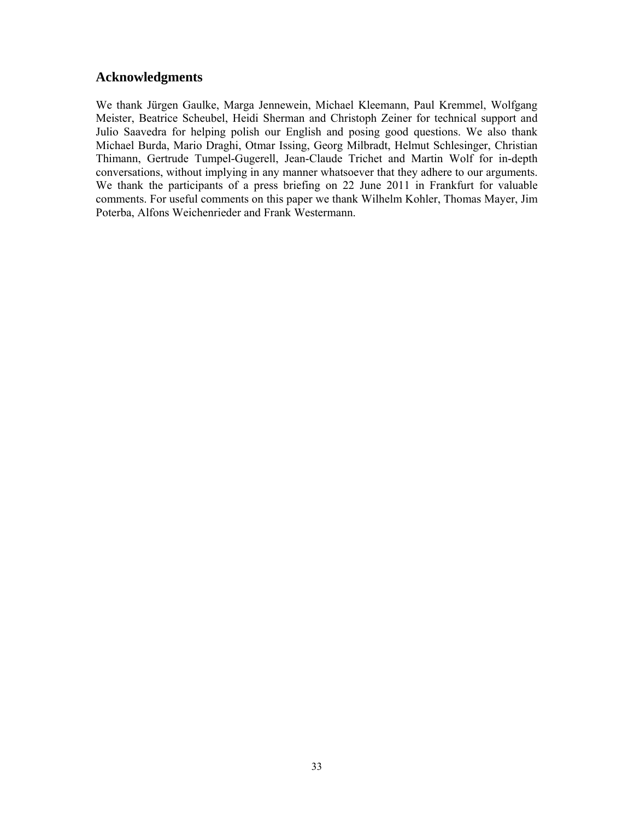## **Acknowledgments**

We thank Jürgen Gaulke, Marga Jennewein, Michael Kleemann, Paul Kremmel, Wolfgang Meister, Beatrice Scheubel, Heidi Sherman and Christoph Zeiner for technical support and Julio Saavedra for helping polish our English and posing good questions. We also thank Michael Burda, Mario Draghi, Otmar Issing, Georg Milbradt, Helmut Schlesinger, Christian Thimann, Gertrude Tumpel-Gugerell, Jean-Claude Trichet and Martin Wolf for in-depth conversations, without implying in any manner whatsoever that they adhere to our arguments. We thank the participants of a press briefing on 22 June 2011 in Frankfurt for valuable comments. For useful comments on this paper we thank Wilhelm Kohler, Thomas Mayer, Jim Poterba, Alfons Weichenrieder and Frank Westermann.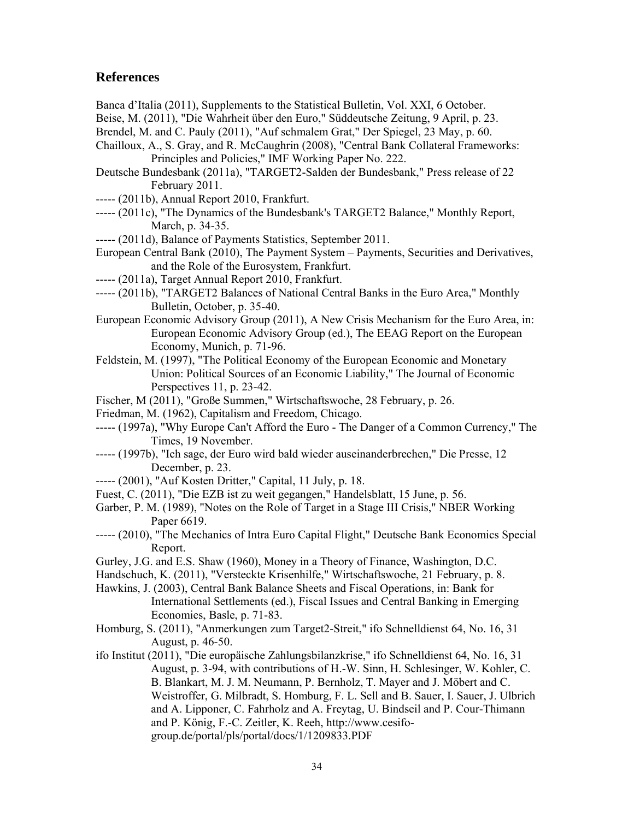#### **References**

Banca d'Italia (2011), Supplements to the Statistical Bulletin, Vol. XXI, 6 October.

- Beise, M. (2011), "Die Wahrheit über den Euro," Süddeutsche Zeitung, 9 April, p. 23.
- Brendel, M. and C. Pauly (2011), "Auf schmalem Grat," Der Spiegel, 23 May, p. 60.
- Chailloux, A., S. Gray, and R. McCaughrin (2008), "Central Bank Collateral Frameworks: Principles and Policies," IMF Working Paper No. 222.
- Deutsche Bundesbank (2011a), "TARGET2-Salden der Bundesbank," Press release of 22 February 2011.
- ----- (2011b), Annual Report 2010, Frankfurt.
- ----- (2011c), "The Dynamics of the Bundesbank's TARGET2 Balance," Monthly Report, March, p. 34-35.
- ----- (2011d), Balance of Payments Statistics, September 2011.
- European Central Bank (2010), The Payment System Payments, Securities and Derivatives, and the Role of the Eurosystem, Frankfurt.
- ----- (2011a), Target Annual Report 2010, Frankfurt.
- ----- (2011b), "TARGET2 Balances of National Central Banks in the Euro Area," Monthly Bulletin, October, p. 35-40.
- European Economic Advisory Group (2011), A New Crisis Mechanism for the Euro Area, in: European Economic Advisory Group (ed.), The EEAG Report on the European Economy, Munich, p. 71-96.
- Feldstein, M. (1997), "The Political Economy of the European Economic and Monetary Union: Political Sources of an Economic Liability," The Journal of Economic Perspectives 11, p. 23-42.
- Fischer, M (2011), "Große Summen," Wirtschaftswoche, 28 February, p. 26.
- Friedman, M. (1962), Capitalism and Freedom, Chicago.
- ----- (1997a), "Why Europe Can't Afford the Euro The Danger of a Common Currency," The Times, 19 November.
- ----- (1997b), "Ich sage, der Euro wird bald wieder auseinanderbrechen," Die Presse, 12 December, p. 23.
- ----- (2001), "Auf Kosten Dritter," Capital, 11 July, p. 18.
- Fuest, C. (2011), "Die EZB ist zu weit gegangen," Handelsblatt, 15 June, p. 56.
- Garber, P. M. (1989), "Notes on the Role of Target in a Stage III Crisis," NBER Working Paper 6619.
- ----- (2010), "The Mechanics of Intra Euro Capital Flight," Deutsche Bank Economics Special Report.
- Gurley, J.G. and E.S. Shaw (1960), Money in a Theory of Finance, Washington, D.C.
- Handschuch, K. (2011), "Versteckte Krisenhilfe," Wirtschaftswoche, 21 February, p. 8.
- Hawkins, J. (2003), Central Bank Balance Sheets and Fiscal Operations, in: Bank for International Settlements (ed.), Fiscal Issues and Central Banking in Emerging Economies, Basle, p. 71-83.
- Homburg, S. (2011), "Anmerkungen zum Target2-Streit," ifo Schnelldienst 64, No. 16, 31 August, p. 46-50.
- ifo Institut (2011), "Die europäische Zahlungsbilanzkrise," ifo Schnelldienst 64, No. 16, 31 August, p. 3-94, with contributions of H.-W. Sinn, H. Schlesinger, W. Kohler, C. B. Blankart, M. J. M. Neumann, P. Bernholz, T. Mayer and J. Möbert and C. Weistroffer, G. Milbradt, S. Homburg, F. L. Sell and B. Sauer, I. Sauer, J. Ulbrich and A. Lipponer, C. Fahrholz and A. Freytag, U. Bindseil and P. Cour-Thimann and P. König, F.-C. Zeitler, K. Reeh, http://www.cesifogroup.de/portal/pls/portal/docs/1/1209833.PDF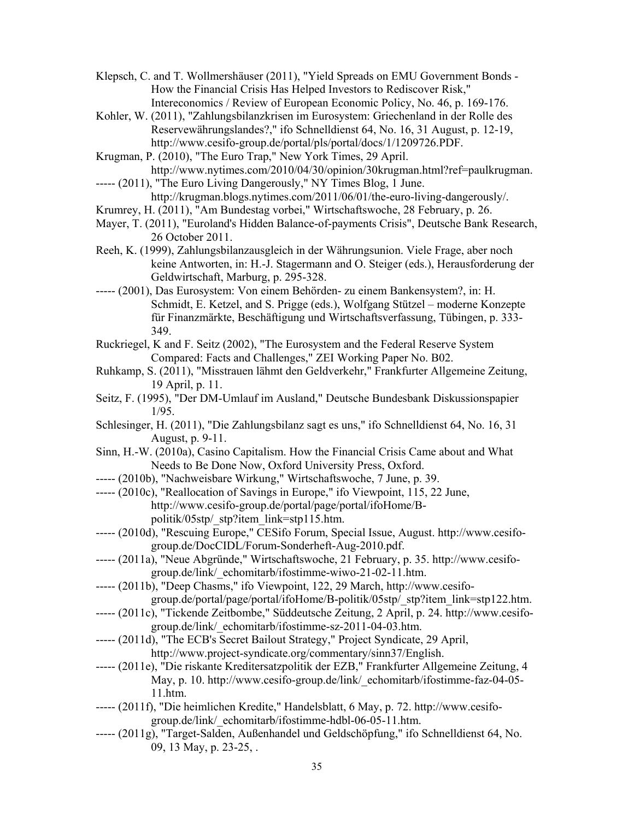- Klepsch, C. and T. Wollmershäuser (2011), "Yield Spreads on EMU Government Bonds How the Financial Crisis Has Helped Investors to Rediscover Risk," Intereconomics / Review of European Economic Policy, No. 46, p. 169-176.
- Kohler, W. (2011), "Zahlungsbilanzkrisen im Eurosystem: Griechenland in der Rolle des Reservewährungslandes?," ifo Schnelldienst 64, No. 16, 31 August, p. 12-19, http://www.cesifo-group.de/portal/pls/portal/docs/1/1209726.PDF.
- Krugman, P. (2010), "The Euro Trap," New York Times, 29 April. http://www.nytimes.com/2010/04/30/opinion/30krugman.html?ref=paulkrugman.
- ----- (2011), "The Euro Living Dangerously," NY Times Blog, 1 June. http://krugman.blogs.nytimes.com/2011/06/01/the-euro-living-dangerously/.
- Krumrey, H. (2011), "Am Bundestag vorbei," Wirtschaftswoche, 28 February, p. 26.
- Mayer, T. (2011), "Euroland's Hidden Balance-of-payments Crisis", Deutsche Bank Research, 26 October 2011.
- Reeh, K. (1999), Zahlungsbilanzausgleich in der Währungsunion. Viele Frage, aber noch keine Antworten, in: H.-J. Stagermann and O. Steiger (eds.), Herausforderung der Geldwirtschaft, Marburg, p. 295-328.
- ----- (2001), Das Eurosystem: Von einem Behörden- zu einem Bankensystem?, in: H. Schmidt, E. Ketzel, and S. Prigge (eds.), Wolfgang Stützel – moderne Konzepte für Finanzmärkte, Beschäftigung und Wirtschaftsverfassung, Tübingen, p. 333- 349.
- Ruckriegel, K and F. Seitz (2002), "The Eurosystem and the Federal Reserve System Compared: Facts and Challenges," ZEI Working Paper No. B02.
- Ruhkamp, S. (2011), "Misstrauen lähmt den Geldverkehr," Frankfurter Allgemeine Zeitung, 19 April, p. 11.
- Seitz, F. (1995), "Der DM-Umlauf im Ausland," Deutsche Bundesbank Diskussionspapier 1/95.
- Schlesinger, H. (2011), "Die Zahlungsbilanz sagt es uns," ifo Schnelldienst 64, No. 16, 31 August, p. 9-11.
- Sinn, H.-W. (2010a), Casino Capitalism. How the Financial Crisis Came about and What Needs to Be Done Now, Oxford University Press, Oxford.
- ----- (2010b), "Nachweisbare Wirkung," Wirtschaftswoche, 7 June, p. 39.
- ----- (2010c), "Reallocation of Savings in Europe," ifo Viewpoint, 115, 22 June, http://www.cesifo-group.de/portal/page/portal/ifoHome/Bpolitik/05stp/\_stp?item\_link=stp115.htm.
- ----- (2010d), "Rescuing Europe," CESifo Forum, Special Issue, August. http://www.cesifogroup.de/DocCIDL/Forum-Sonderheft-Aug-2010.pdf.
- ----- (2011a), "Neue Abgründe," Wirtschaftswoche, 21 February, p. 35. http://www.cesifogroup.de/link/\_echomitarb/ifostimme-wiwo-21-02-11.htm.
- ----- (2011b), "Deep Chasms," ifo Viewpoint, 122, 29 March, http://www.cesifo
	- group.de/portal/page/portal/ifoHome/B-politik/05stp/\_stp?item\_link=stp122.htm.
- ----- (2011c), "Tickende Zeitbombe," Süddeutsche Zeitung, 2 April, p. 24. http://www.cesifogroup.de/link/\_echomitarb/ifostimme-sz-2011-04-03.htm.
- ----- (2011d), "The ECB's Secret Bailout Strategy," Project Syndicate, 29 April, http://www.project-syndicate.org/commentary/sinn37/English.
- ----- (2011e), "Die riskante Kreditersatzpolitik der EZB," Frankfurter Allgemeine Zeitung, 4 May, p. 10. http://www.cesifo-group.de/link/ echomitarb/ifostimme-faz-04-05-11.htm.
- ----- (2011f), "Die heimlichen Kredite," Handelsblatt, 6 May, p. 72. http://www.cesifogroup.de/link/\_echomitarb/ifostimme-hdbl-06-05-11.htm.
- ----- (2011g), "Target-Salden, Außenhandel und Geldschöpfung," ifo Schnelldienst 64, No. 09, 13 May, p. 23-25, .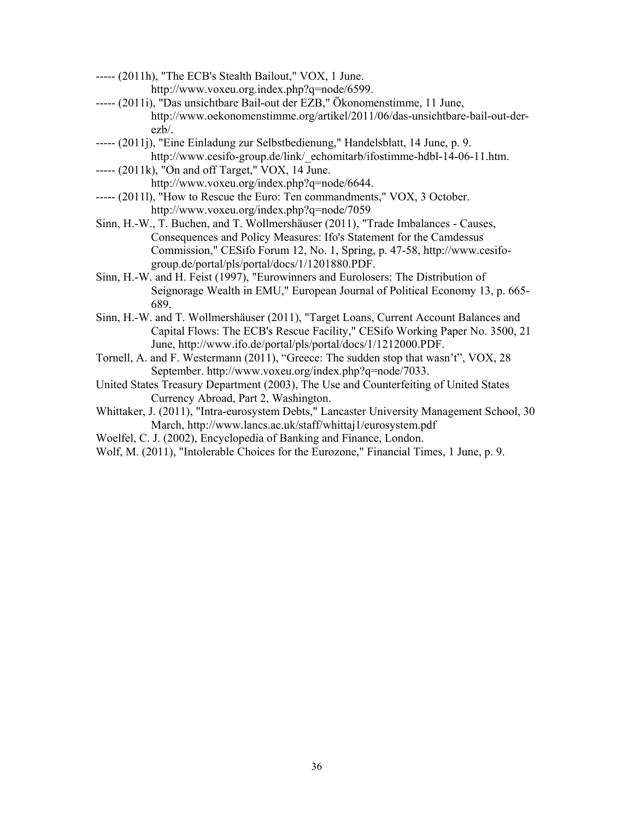----- (2011h), "The ECB's Stealth Bailout," VOX, 1 June.

http://www.voxeu.org.index.php?q=node/6599.

- ----- (2011i), "Das unsichtbare Bail-out der EZB," Ökonomenstimme, 11 June, http://www.oekonomenstimme.org/artikel/2011/06/das-unsichtbare-bail-out-derezb/.
- ----- (2011j), "Eine Einladung zur Selbstbedienung," Handelsblatt, 14 June, p. 9. http://www.cesifo-group.de/link/\_echomitarb/ifostimme-hdbl-14-06-11.htm.
- ----- (2011k), "On and off Target," VOX, 14 June. http://www.voxeu.org/index.php?q=node/6644.
- ----- (2011l), "How to Rescue the Euro: Ten commandments," VOX, 3 October. http://www.voxeu.org/index.php?q=node/7059
- Sinn, H.-W., T. Buchen, and T. Wollmershäuser (2011), "Trade Imbalances Causes, Consequences and Policy Measures: Ifo's Statement for the Camdessus Commission," CESifo Forum 12, No. 1, Spring, p. 47-58, http://www.cesifogroup.de/portal/pls/portal/docs/1/1201880.PDF.
- Sinn, H.-W. and H. Feist (1997), "Eurowinners and Eurolosers: The Distribution of Seignorage Wealth in EMU," European Journal of Political Economy 13, p. 665- 689.
- Sinn, H.-W. and T. Wollmershäuser (2011), "Target Loans, Current Account Balances and Capital Flows: The ECB's Rescue Facility," CESifo Working Paper No. 3500, 21 June, http://www.ifo.de/portal/pls/portal/docs/1/1212000.PDF.
- Tornell, A. and F. Westermann (2011), "Greece: The sudden stop that wasn't", VOX, 28 September. http://www.voxeu.org/index.php?q=node/7033.
- United States Treasury Department (2003), The Use and Counterfeiting of United States Currency Abroad, Part 2, Washington.
- Whittaker, J. (2011), "Intra-eurosystem Debts," Lancaster University Management School, 30 March, http://www.lancs.ac.uk/staff/whittaj1/eurosystem.pdf
- Woelfel, C. J. (2002), Encyclopedia of Banking and Finance, London.
- Wolf, M. (2011), "Intolerable Choices for the Eurozone," Financial Times, 1 June, p. 9.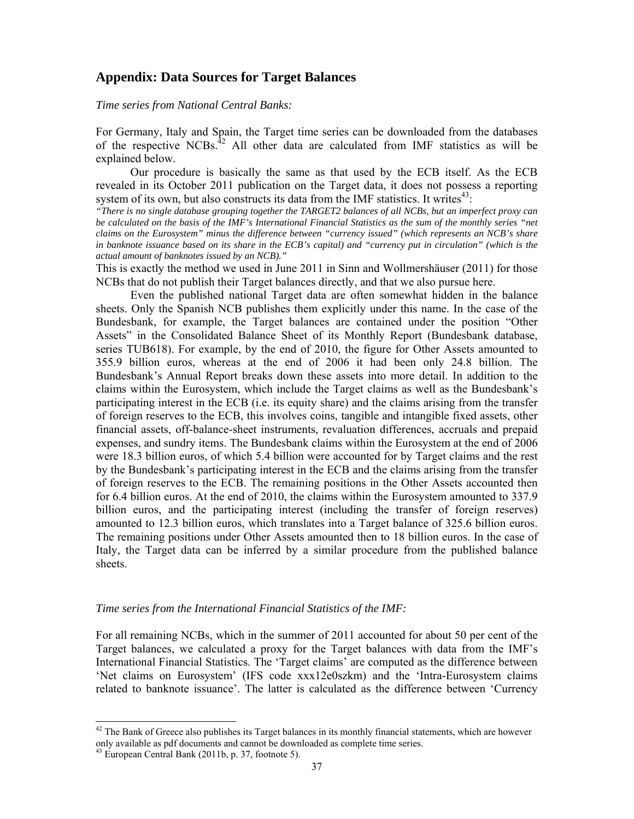#### **Appendix: Data Sources for Target Balances**

*Time series from National Central Banks:* 

For Germany, Italy and Spain, the Target time series can be downloaded from the databases of the respective NCBs. $^{42}$  All other data are calculated from IMF statistics as will be explained below.

 Our procedure is basically the same as that used by the ECB itself. As the ECB revealed in its October 2011 publication on the Target data, it does not possess a reporting system of its own, but also constructs its data from the IMF statistics. It writes $43$ :

*"There is no single database grouping together the TARGET2 balances of all NCBs, but an imperfect proxy can be calculated on the basis of the IMF's International Financial Statistics as the sum of the monthly series "net claims on the Eurosystem" minus the difference between "currency issued" (which represents an NCB's share in banknote issuance based on its share in the ECB's capital) and "currency put in circulation" (which is the actual amount of banknotes issued by an NCB)."* 

This is exactly the method we used in June 2011 in Sinn and Wollmershäuser (2011) for those NCBs that do not publish their Target balances directly, and that we also pursue here.

 Even the published national Target data are often somewhat hidden in the balance sheets. Only the Spanish NCB publishes them explicitly under this name. In the case of the Bundesbank, for example, the Target balances are contained under the position "Other Assets" in the Consolidated Balance Sheet of its Monthly Report (Bundesbank database, series TUB618). For example, by the end of 2010, the figure for Other Assets amounted to 355.9 billion euros, whereas at the end of 2006 it had been only 24.8 billion. The Bundesbank's Annual Report breaks down these assets into more detail. In addition to the claims within the Eurosystem, which include the Target claims as well as the Bundesbank's participating interest in the ECB (i.e. its equity share) and the claims arising from the transfer of foreign reserves to the ECB, this involves coins, tangible and intangible fixed assets, other financial assets, off-balance-sheet instruments, revaluation differences, accruals and prepaid expenses, and sundry items. The Bundesbank claims within the Eurosystem at the end of 2006 were 18.3 billion euros, of which 5.4 billion were accounted for by Target claims and the rest by the Bundesbank's participating interest in the ECB and the claims arising from the transfer of foreign reserves to the ECB. The remaining positions in the Other Assets accounted then for 6.4 billion euros. At the end of 2010, the claims within the Eurosystem amounted to 337.9 billion euros, and the participating interest (including the transfer of foreign reserves) amounted to 12.3 billion euros, which translates into a Target balance of 325.6 billion euros. The remaining positions under Other Assets amounted then to 18 billion euros. In the case of Italy, the Target data can be inferred by a similar procedure from the published balance sheets.

#### *Time series from the International Financial Statistics of the IMF:*

For all remaining NCBs, which in the summer of 2011 accounted for about 50 per cent of the Target balances, we calculated a proxy for the Target balances with data from the IMF's International Financial Statistics. The 'Target claims' are computed as the difference between 'Net claims on Eurosystem' (IFS code xxx12e0szkm) and the 'Intra-Eurosystem claims related to banknote issuance'. The latter is calculated as the difference between 'Currency

 $42$  The Bank of Greece also publishes its Target balances in its monthly financial statements, which are however only available as pdf documents and cannot be downloaded as complete time series.

 $3^3$  European Central Bank (2011b, p. 37, footnote 5).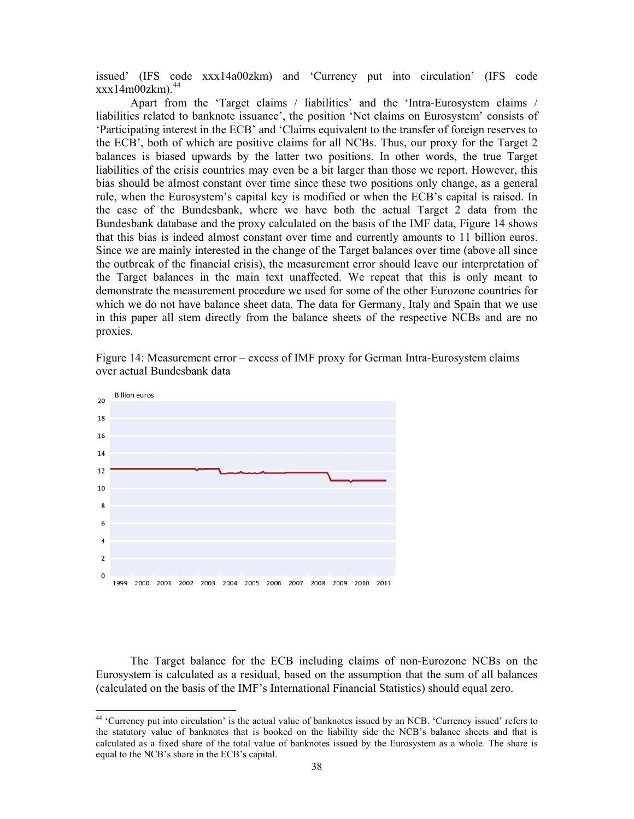issued' (IFS code xxx14a00zkm) and 'Currency put into circulation' (IFS code  $xxx14m00zkm$ <sup>44</sup>

 Apart from the 'Target claims / liabilities' and the 'Intra-Eurosystem claims / liabilities related to banknote issuance', the position 'Net claims on Eurosystem' consists of 'Participating interest in the ECB' and 'Claims equivalent to the transfer of foreign reserves to the ECB', both of which are positive claims for all NCBs. Thus, our proxy for the Target 2 balances is biased upwards by the latter two positions. In other words, the true Target liabilities of the crisis countries may even be a bit larger than those we report. However, this bias should be almost constant over time since these two positions only change, as a general rule, when the Eurosystem's capital key is modified or when the ECB's capital is raised. In the case of the Bundesbank, where we have both the actual Target 2 data from the Bundesbank database and the proxy calculated on the basis of the IMF data, Figure 14 shows that this bias is indeed almost constant over time and currently amounts to 11 billion euros. Since we are mainly interested in the change of the Target balances over time (above all since the outbreak of the financial crisis), the measurement error should leave our interpretation of the Target balances in the main text unaffected. We repeat that this is only meant to demonstrate the measurement procedure we used for some of the other Eurozone countries for which we do not have balance sheet data. The data for Germany, Italy and Spain that we use in this paper all stem directly from the balance sheets of the respective NCBs and are no proxies.

Figure 14: Measurement error – excess of IMF proxy for German Intra-Eurosystem claims over actual Bundesbank data



 $\overline{a}$ 

 The Target balance for the ECB including claims of non-Eurozone NCBs on the Eurosystem is calculated as a residual, based on the assumption that the sum of all balances (calculated on the basis of the IMF's International Financial Statistics) should equal zero.

<sup>&</sup>lt;sup>44</sup> 'Currency put into circulation' is the actual value of banknotes issued by an NCB. 'Currency issued' refers to the statutory value of banknotes that is booked on the liability side the NCB's balance sheets and that is calculated as a fixed share of the total value of banknotes issued by the Eurosystem as a whole. The share is equal to the NCB's share in the ECB's capital.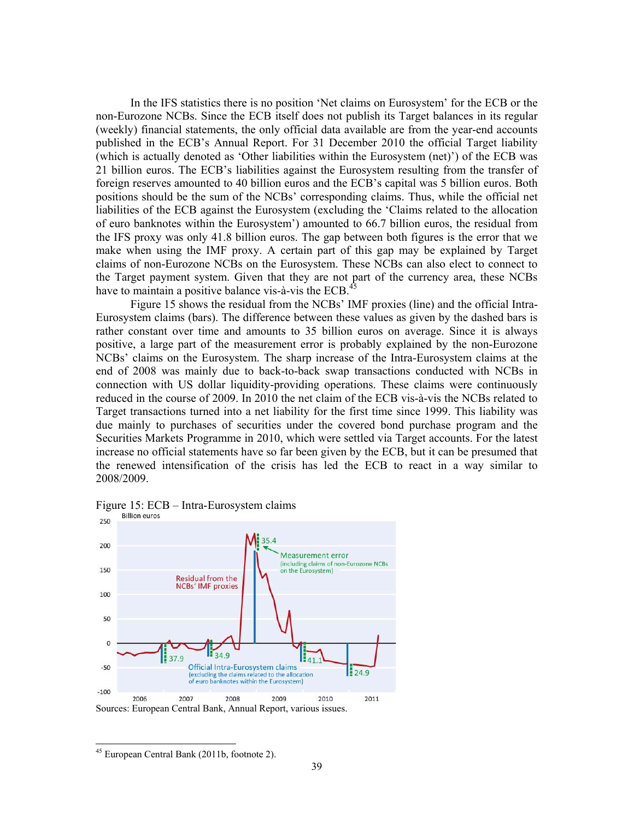In the IFS statistics there is no position 'Net claims on Eurosystem' for the ECB or the non-Eurozone NCBs. Since the ECB itself does not publish its Target balances in its regular (weekly) financial statements, the only official data available are from the year-end accounts published in the ECB's Annual Report. For 31 December 2010 the official Target liability (which is actually denoted as 'Other liabilities within the Eurosystem (net)') of the ECB was 21 billion euros. The ECB's liabilities against the Eurosystem resulting from the transfer of foreign reserves amounted to 40 billion euros and the ECB's capital was 5 billion euros. Both positions should be the sum of the NCBs' corresponding claims. Thus, while the official net liabilities of the ECB against the Eurosystem (excluding the 'Claims related to the allocation of euro banknotes within the Eurosystem') amounted to 66.7 billion euros, the residual from the IFS proxy was only 41.8 billion euros. The gap between both figures is the error that we make when using the IMF proxy. A certain part of this gap may be explained by Target claims of non-Eurozone NCBs on the Eurosystem. These NCBs can also elect to connect to the Target payment system. Given that they are not part of the currency area, these NCBs have to maintain a positive balance vis-à-vis the ECB.<sup>45</sup>

 Figure 15 shows the residual from the NCBs' IMF proxies (line) and the official Intra-Eurosystem claims (bars). The difference between these values as given by the dashed bars is rather constant over time and amounts to 35 billion euros on average. Since it is always positive, a large part of the measurement error is probably explained by the non-Eurozone NCBs' claims on the Eurosystem. The sharp increase of the Intra-Eurosystem claims at the end of 2008 was mainly due to back-to-back swap transactions conducted with NCBs in connection with US dollar liquidity-providing operations. These claims were continuously reduced in the course of 2009. In 2010 the net claim of the ECB vis-à-vis the NCBs related to Target transactions turned into a net liability for the first time since 1999. This liability was due mainly to purchases of securities under the covered bond purchase program and the Securities Markets Programme in 2010, which were settled via Target accounts. For the latest increase no official statements have so far been given by the ECB, but it can be presumed that the renewed intensification of the crisis has led the ECB to react in a way similar to 2008/2009.



Figure 15: ECB – Intra-Eurosystem claims

 $\overline{a}$ 45 European Central Bank (2011b, footnote 2).